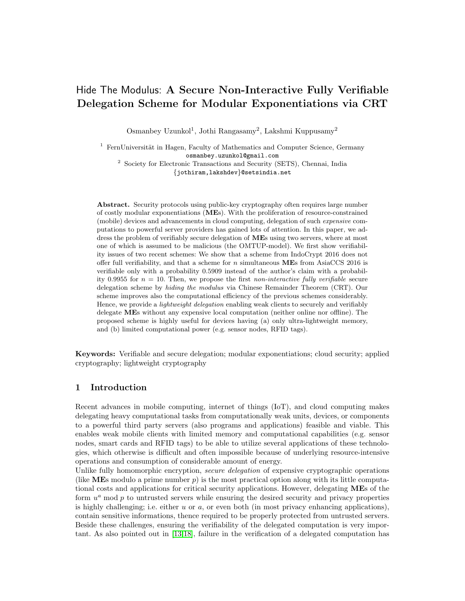# Hide The Modulus: A Secure Non-Interactive Fully Verifiable Delegation Scheme for Modular Exponentiations via CRT

Osmanbey Uzunkol<sup>1</sup>, Jothi Rangasamy<sup>2</sup>, Lakshmi Kuppusamy<sup>2</sup>

 $1$  FernUniversität in Hagen, Faculty of Mathematics and Computer Science, Germany osmanbey.uzunkol@gmail.com

<sup>2</sup> Society for Electronic Transactions and Security (SETS), Chennai, India {jothiram,lakshdev}@setsindia.net

Abstract. Security protocols using public-key cryptography often requires large number of costly modular exponentiations (MEs). With the proliferation of resource-constrained (mobile) devices and advancements in cloud computing, delegation of such expensive computations to powerful server providers has gained lots of attention. In this paper, we address the problem of verifiably secure delegation of MEs using two servers, where at most one of which is assumed to be malicious (the OMTUP-model). We first show verifiability issues of two recent schemes: We show that a scheme from IndoCrypt 2016 does not offer full verifiability, and that a scheme for  $n$  simultaneous MEs from AsiaCCS 2016 is verifiable only with a probability 0.5909 instead of the author's claim with a probability 0.9955 for  $n = 10$ . Then, we propose the first non-interactive fully verifiable secure delegation scheme by hiding the modulus via Chinese Remainder Theorem (CRT). Our scheme improves also the computational efficiency of the previous schemes considerably. Hence, we provide a lightweight delegation enabling weak clients to securely and verifiably delegate MEs without any expensive local computation (neither online nor offline). The proposed scheme is highly useful for devices having (a) only ultra-lightweight memory, and (b) limited computational power (e.g. sensor nodes, RFID tags).

Keywords: Verifiable and secure delegation; modular exponentiations; cloud security; applied cryptography; lightweight cryptography

# 1 Introduction

Recent advances in mobile computing, internet of things (IoT), and cloud computing makes delegating heavy computational tasks from computationally weak units, devices, or components to a powerful third party servers (also programs and applications) feasible and viable. This enables weak mobile clients with limited memory and computational capabilities (e.g. sensor nodes, smart cards and RFID tags) to be able to utilize several applications of these technologies, which otherwise is difficult and often impossible because of underlying resource-intensive operations and consumption of considerable amount of energy.

Unlike fully homomorphic encryption, *secure delegation* of expensive cryptographic operations (like MEs modulo a prime number  $p$ ) is the most practical option along with its little computational costs and applications for critical security applications. However, delegating MEs of the form  $u^a$  mod  $p$  to untrusted servers while ensuring the desired security and privacy properties is highly challenging; i.e. either  $u$  or  $a$ , or even both (in most privacy enhancing applications), contain sensitive informations, thence required to be properly protected from untrusted servers. Beside these challenges, ensuring the verifiability of the delegated computation is very important. As also pointed out in [\[13,](#page-17-0)[18\]](#page-17-1), failure in the verification of a delegated computation has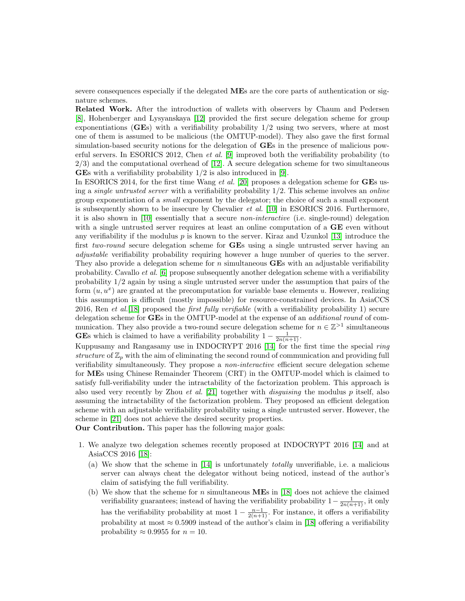severe consequences especially if the delegated MEs are the core parts of authentication or signature schemes.

Related Work. After the introduction of wallets with observers by Chaum and Pedersen [\[8\]](#page-16-0), Hohenberger and Lysyanskaya [\[12\]](#page-17-2) provided the first secure delegation scheme for group exponentiations (GEs) with a verifiability probability  $1/2$  using two servers, where at most one of them is assumed to be malicious (the OMTUP-model). They also gave the first formal simulation-based security notions for the delegation of GEs in the presence of malicious powerful servers. In ESORICS 2012, Chen et al. [\[9\]](#page-16-1) improved both the verifiability probability (to  $2/3$ ) and the computational overhead of [\[12\]](#page-17-2). A secure delegation scheme for two simultaneous GEs with a verifiability probability 1/2 is also introduced in [\[9\]](#page-16-1).

In ESORICS 2014, for the first time Wang *et al.* [\[20\]](#page-17-3) proposes a delegation scheme for **GE**s using a *single untrusted server* with a verifiability probability  $1/2$ . This scheme involves an *online* group exponentiation of a small exponent by the delegator; the choice of such a small exponent is subsequently shown to be insecure by Chevalier et al. [\[10\]](#page-16-2) in ESORICS 2016. Furthermore, it is also shown in [\[10\]](#page-16-2) essentially that a secure non-interactive (i.e. single-round) delegation with a single untrusted server requires at least an online computation of a **GE** even without any verifiability if the modulus  $p$  is known to the server. Kiraz and Uzunkol [\[13\]](#page-17-0) introduce the first two-round secure delegation scheme for GEs using a single untrusted server having an adjustable verifiability probability requiring however a huge number of queries to the server. They also provide a delegation scheme for  $n$  simultaneous **GE**s with an adjustable verifiability probability. Cavallo et al. [\[6\]](#page-16-3) propose subsequently another delegation scheme with a verifiability probability 1/2 again by using a single untrusted server under the assumption that pairs of the form  $(u, u^x)$  are granted at the precomputation for variable base elements u. However, realizing this assumption is difficult (mostly impossible) for resource-constrained devices. In AsiaCCS 2016, Ren et al.[\[18\]](#page-17-1) proposed the first fully verifiable (with a verifiability probability 1) secure delegation scheme for **GEs** in the OMTUP-model at the expense of an *additional round* of communication. They also provide a two-round secure delegation scheme for  $n \in \mathbb{Z}^{>1}$  simultaneous **GEs** which is claimed to have a verifiability probability  $1 - \frac{1}{2n(n+1)}$ .

Kuppusamy and Rangasamy use in INDOCRYPT 2016 [\[14\]](#page-17-4) for the first time the special ring structure of  $\mathbb{Z}_p$  with the aim of eliminating the second round of communication and providing full verifiability simultaneously. They propose a non-interactive efficient secure delegation scheme for MEs using Chinese Remainder Theorem (CRT) in the OMTUP-model which is claimed to satisfy full-verifiability under the intractability of the factorization problem. This approach is also used very recently by Zhou *et al.* [\[21\]](#page-17-5) together with *disguising* the modulus  $p$  itself, also assuming the intractability of the factorization problem. They proposed an efficient delegation scheme with an adjustable verifiability probability using a single untrusted server. However, the scheme in [\[21\]](#page-17-5) does not achieve the desired security properties.

Our Contribution. This paper has the following major goals:

- 1. We analyze two delegation schemes recently proposed at INDOCRYPT 2016 [\[14\]](#page-17-4) and at AsiaCCS 2016 [\[18\]](#page-17-1):
	- (a) We show that the scheme in [\[14\]](#page-17-4) is unfortunately totally unverifiable, i.e. a malicious server can always cheat the delegator without being noticed, instead of the author's claim of satisfying the full verifiability.
	- (b) We show that the scheme for  $n$  simultaneous MEs in [\[18\]](#page-17-1) does not achieve the claimed verifiability guarantees; instead of having the verifiability probability  $1-\frac{1}{2n(n+1)}$ , it only has the verifiability probability at most  $1 - \frac{n-1}{2(n+1)}$ . For instance, it offers a verifiability probability at most  $\approx 0.5909$  instead of the author's claim in [\[18\]](#page-17-1) offering a verifiability probability  $\approx 0.9955$  for  $n = 10$ .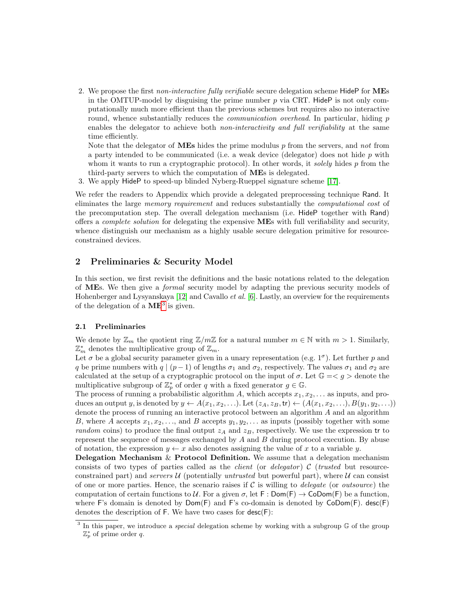2. We propose the first non-interactive fully verifiable secure delegation scheme HideP for MEs in the OMTUP-model by disguising the prime number  $p$  via CRT. HideP is not only computationally much more efficient than the previous schemes but requires also no interactive round, whence substantially reduces the *communication overhead*. In particular, hiding p enables the delegator to achieve both *non-interactivity and full verifiability* at the same time efficiently.

Note that the delegator of **MEs** hides the prime modulus  $p$  from the servers, and not from a party intended to be communicated (i.e. a weak device (delegator) does not hide  $p$  with whom it wants to run a cryptographic protocol). In other words, it solely hides  $p$  from the third-party servers to which the computation of MEs is delegated.

3. We apply HideP to speed-up blinded Nyberg-Rueppel signature scheme [\[17\]](#page-17-6).

We refer the readers to Appendix which provide a delegated preprocessing technique Rand. It eliminates the large memory requirement and reduces substantially the computational cost of the precomputation step. The overall delegation mechanism (i.e. HideP together with Rand) offers a complete solution for delegating the expensive MEs with full verifiability and security, whence distinguish our mechanism as a highly usable secure delegation primitive for resourceconstrained devices.

# <span id="page-2-1"></span>2 Preliminaries & Security Model

In this section, we first revisit the definitions and the basic notations related to the delegation of MEs. We then give a formal security model by adapting the previous security models of Hohenberger and Lysyanskaya [\[12\]](#page-17-2) and Cavallo *et al.* [\[6\]](#page-16-3). Lastly, an overview for the requirements of the delegation of a  $ME^3$  $ME^3$  is given.

### 2.1 Preliminaries

We denote by  $\mathbb{Z}_m$  the quotient ring  $\mathbb{Z}/m\mathbb{Z}$  for a natural number  $m \in \mathbb{N}$  with  $m > 1$ . Similarly,  $\mathbb{Z}_m^*$  denotes the multiplicative group of  $\mathbb{Z}_m$ .

Let  $\sigma$  be a global security parameter given in a unary representation (e.g.  $1^{\sigma}$ ). Let further p and q be prime numbers with  $q | (p-1)$  of lengths  $\sigma_1$  and  $\sigma_2$ , respectively. The values  $\sigma_1$  and  $\sigma_2$  are calculated at the setup of a cryptographic protocol on the input of  $\sigma$ . Let  $\mathbb{G} = \langle g \rangle$  denote the multiplicative subgroup of  $\mathbb{Z}_p^*$  of order q with a fixed generator  $g \in \mathbb{G}$ .

The process of running a probabilistic algorithm A, which accepts  $x_1, x_2, \ldots$  as inputs, and produces an output y, is denoted by  $y \leftarrow A(x_1, x_2, \ldots)$ . Let  $(z_A, z_B, \text{tr}) \leftarrow (A(x_1, x_2, \ldots), B(y_1, y_2, \ldots))$ denote the process of running an interactive protocol between an algorithm A and an algorithm B, where A accepts  $x_1, x_2, \ldots$ , and B accepts  $y_1, y_2, \ldots$  as inputs (possibly together with some random coins) to produce the final output  $z_A$  and  $z_B$ , respectively. We use the expression tr to represent the sequence of messages exchanged by A and B during protocol execution. By abuse of notation, the expression  $y \leftarrow x$  also denotes assigning the value of x to a variable y.

**Delegation Mechanism & Protocol Definition.** We assume that a delegation mechanism consists of two types of parties called as the *client* (or *delegator*)  $C$  (*trusted* but resourceconstrained part) and servers  $\mathcal U$  (potentially untrusted but powerful part), where  $\mathcal U$  can consist of one or more parties. Hence, the scenario raises if  $C$  is willing to *delegate* (or *outsource*) the computation of certain functions to U. For a given  $\sigma$ , let F : Dom(F)  $\rightarrow$  CoDom(F) be a function, where F's domain is denoted by  $Dom(F)$  and F's co-domain is denoted by  $CoDom(F)$ . desc(F) denotes the description of  $F$ . We have two cases for  $desc(F)$ :

<span id="page-2-0"></span><sup>&</sup>lt;sup>3</sup> In this paper, we introduce a *special* delegation scheme by working with a subgroup  $G$  of the group  $\mathbb{Z}_p^*$  of prime order q.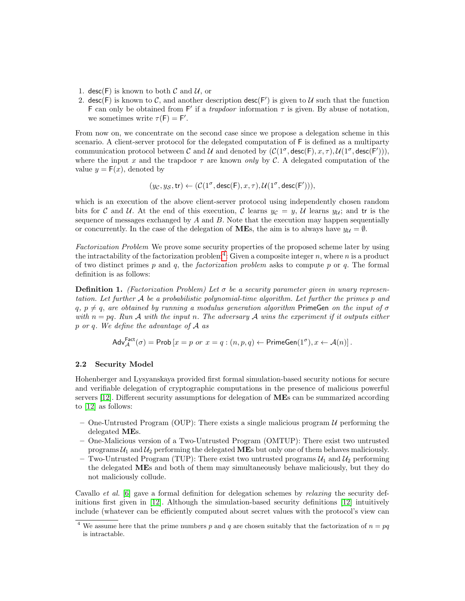- 1. desc(F) is known to both  $\mathcal C$  and  $\mathcal U$ , or
- 2. desc(F) is known to C, and another description desc(F') is given to U such that the function F can only be obtained from F' if a *trapdoor* information  $\tau$  is given. By abuse of notation, we sometimes write  $\tau(F) = F'$ .

From now on, we concentrate on the second case since we propose a delegation scheme in this scenario. A client-server protocol for the delegated computation of F is defined as a multiparty communication protocol between C and U and denoted by  $(C(1^{\sigma}, \text{desc}(F), x, \tau), \mathcal{U}(1^{\sigma}, \text{desc}(F))),$ where the input x and the trapdoor  $\tau$  are known only by C. A delegated computation of the value  $y = F(x)$ , denoted by

$$
(y_{\mathcal{C}},y_{\mathcal{S}},\mathsf{tr}) \leftarrow (\mathcal{C}(1^\sigma,\mathsf{desc}(\mathsf{F}),x,\tau),\mathcal{U}(1^\sigma,\mathsf{desc}(\mathsf{F}'))),
$$

which is an execution of the above client-server protocol using independently chosen random bits for C and U. At the end of this execution, C learns  $y_{\mathcal{C}} = y$ , U learns  $y_{\mathcal{U}}$ ; and tr is the sequence of messages exchanged by  $A$  and  $B$ . Note that the execution may happen sequentially or concurrently. In the case of the delegation of **ME**s, the aim is to always have  $y_{\mathcal{U}} = \emptyset$ .

Factorization Problem We prove some security properties of the proposed scheme later by using the intractability of the factorization problem<sup>[4](#page-3-0)</sup>: Given a composite integer n, where n is a product of two distinct primes p and q, the factorization problem asks to compute p or q. The formal definition is as follows:

**Definition 1.** (Factorization Problem) Let  $\sigma$  be a security parameter given in unary representation. Let further A be a probabilistic polynomial-time algorithm. Let further the primes p and  $q, p \neq q$ , are obtained by running a modulus generation algorithm PrimeGen on the input of  $\sigma$ with  $n = pq$ . Run A with the input n. The adversary A wins the experiment if it outputs either p or q. We define the advantage of A as

$$
\mathsf{Adv}_{\mathcal{A}}^{\mathsf{Fact}}(\sigma) = \mathsf{Prob}\left[x = p \text{ or } x = q : (n, p, q) \leftarrow \mathsf{PrimeGen}(1^{\sigma}), x \leftarrow \mathcal{A}(n)\right].
$$

#### 2.2 Security Model

Hohenberger and Lysyanskaya provided first formal simulation-based security notions for secure and verifiable delegation of cryptographic computations in the presence of malicious powerful servers [\[12\]](#page-17-2). Different security assumptions for delegation of MEs can be summarized according to [\[12\]](#page-17-2) as follows:

- One-Untrusted Program (OUP): There exists a single malicious program  $\mathcal{U}$  performing the delegated MEs.
- One-Malicious version of a Two-Untrusted Program (OMTUP): There exist two untrusted programs  $U_1$  and  $U_2$  performing the delegated **ME**s but only one of them behaves maliciously.
- Two-Untrusted Program (TUP): There exist two untrusted programs  $\mathcal{U}_1$  and  $\mathcal{U}_2$  performing the delegated MEs and both of them may simultaneously behave maliciously, but they do not maliciously collude.

Cavallo et al. [\[6\]](#page-16-3) gave a formal definition for delegation schemes by relaxing the security definitions first given in [\[12\]](#page-17-2). Although the simulation-based security definitions [\[12\]](#page-17-2) intuitively include (whatever can be efficiently computed about secret values with the protocol's view can

<span id="page-3-0"></span><sup>&</sup>lt;sup>4</sup> We assume here that the prime numbers p and q are chosen suitably that the factorization of  $n = pq$ is intractable.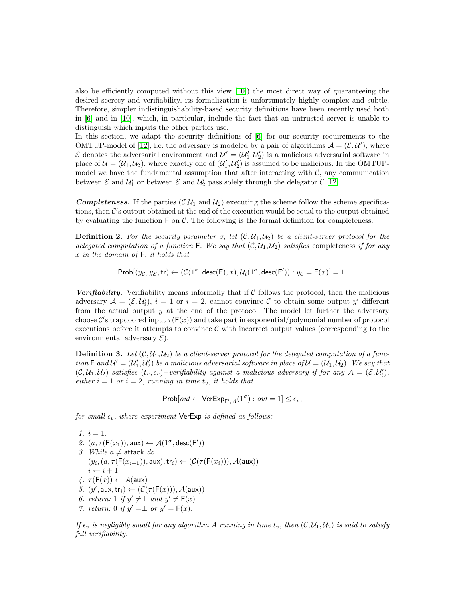also be efficiently computed without this view [\[10\]](#page-16-2)) the most direct way of guaranteeing the desired secrecy and verifiability, its formalization is unfortunately highly complex and subtle. Therefore, simpler indistinguishability-based security definitions have been recently used both in [\[6\]](#page-16-3) and in [\[10\]](#page-16-2), which, in particular, include the fact that an untrusted server is unable to distinguish which inputs the other parties use.

In this section, we adapt the security definitions of [\[6\]](#page-16-3) for our security requirements to the OMTUP-model of [\[12\]](#page-17-2), i.e. the adversary is modeled by a pair of algorithms  $A = (\mathcal{E}, \mathcal{U}')$ , where  $\mathcal{E}$  denotes the adversarial environment and  $\mathcal{U}' = (\mathcal{U}'_1, \mathcal{U}'_2)$  is a malicious adversarial software in place of  $\mathcal{U} = (\mathcal{U}_1, \mathcal{U}_2)$ , where exactly one of  $(\mathcal{U}'_1, \mathcal{U}'_2)$  is assumed to be malicious. In the OMTUPmodel we have the fundamental assumption that after interacting with  $C$ , any communication between  $\mathcal E$  and  $\mathcal U'_1$  or between  $\mathcal E$  and  $\mathcal U'_2$  pass solely through the delegator  $\mathcal C$  [\[12\]](#page-17-2).

**Completeness.** If the parties  $(C, \mathcal{U}_1 \text{ and } \mathcal{U}_2)$  executing the scheme follow the scheme specifications, then  $\mathcal{C}'$ s output obtained at the end of the execution would be equal to the output obtained by evaluating the function  $\mathsf F$  on  $\mathcal C$ . The following is the formal definition for completeness:

**Definition 2.** For the security parameter  $\sigma$ , let  $(C, \mathcal{U}_1, \mathcal{U}_2)$  be a client-server protocol for the delegated computation of a function F. We say that  $(C, U_1, U_2)$  satisfies completeness if for any  $x$  in the domain of  $F$ , it holds that

 $\mathsf{Prob}[(y_{\mathcal{C}},y_{\mathcal{S}},\mathsf{tr}) \leftarrow (\mathcal{C}(1^\sigma,\mathsf{desc}(\mathsf{F}),x),\mathcal{U}_i(1^\sigma,\mathsf{desc}(\mathsf{F}')) : y_{\mathcal{C}} = \mathsf{F}(x)] = 1.$ 

**Verifiability.** Verifiability means informally that if  $C$  follows the protocol, then the malicious adversary  $\mathcal{A} = (\mathcal{E}, \mathcal{U}'_i), i = 1$  or  $i = 2$ , cannot convince  $\mathcal C$  to obtain some output  $y'$  different from the actual output  $y$  at the end of the protocol. The model let further the adversary choose C's trapdoored input  $\tau(F(x))$  and take part in exponential/polynomial number of protocol executions before it attempts to convince  $\mathcal C$  with incorrect output values (corresponding to the environmental adversary  $\mathcal{E}$ ).

**Definition 3.** Let  $(C, U_1, U_2)$  be a client-server protocol for the delegated computation of a function  $\mathsf F$  and  $\mathcal U'=(\mathcal U'_1,\mathcal U'_2)$  be a malicious adversarial software in place of  $\mathcal U=(\mathcal U_1,\mathcal U_2)$ . We say that  $(C, \mathcal{U}_1, \mathcal{U}_2)$  satisfies  $(t_v, \epsilon_v)$  – verifiability against a malicious adversary if for any  $\mathcal{A} = (\mathcal{E}, \mathcal{U}'_i)$ , either  $i = 1$  or  $i = 2$ , running in time  $t_v$ , it holds that

 $Prob[out \leftarrow \mathsf{VerExp}_{F', \mathcal{A}}(1^\sigma): out = 1] \leq \epsilon_v,$ 

for small  $\epsilon_v$ , where experiment VerExp is defined as follows:

$$
1. \, i=1.
$$

- 2.  $(a, \tau(F(x_1)), \text{aux}) \leftarrow \mathcal{A}(1^\sigma, \text{desc}(F'))$ 3. While  $a \neq$  attack do  $(y_i, (a, \tau(F(x_{i+1})), \text{aux}), \text{tr}_i) \leftarrow (\mathcal{C}(\tau(F(x_i))), \mathcal{A}(\text{aux}))$  $i \leftarrow i + 1$
- $\varphi$ .  $\tau(F(x)) \leftarrow \mathcal{A}(\text{aux})$
- 5.  $(y', \text{aux}, \text{tr}_i) \leftarrow (\mathcal{C}(\tau(\mathsf{F}(x))), \mathcal{A}(\text{aux}))$
- 6. return: 1 if  $y' \neq \perp$  and  $y' \neq \mathsf{F}(x)$
- 7. return: 0 if  $y' = \perp$  or  $y' = F(x)$ .

If  $\epsilon_v$  is negligibly small for any algorithm A running in time  $t_v$ , then  $(C, U_1, U_2)$  is said to satisfy full verifiability.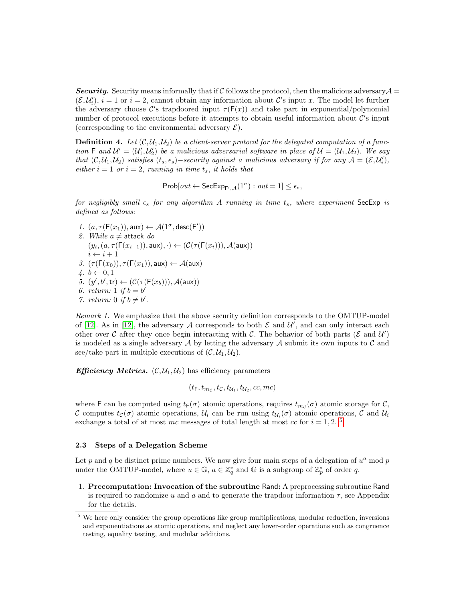Security. Security means informally that if C follows the protocol, then the malicious adversary  $\mathcal{A} =$  $(\mathcal{E}, \mathcal{U}'_i)$ ,  $i = 1$  or  $i = 2$ , cannot obtain any information about C's input x. The model let further the adversary choose C's trapdoored input  $\tau(F(x))$  and take part in exponential/polynomial number of protocol executions before it attempts to obtain useful information about  $\mathcal{C}'$ 's input (corresponding to the environmental adversary  $\mathcal{E}$ ).

**Definition 4.** Let  $(C, U_1, U_2)$  be a client-server protocol for the delegated computation of a function F and  $\mathcal{U}' = (\mathcal{U}'_1, \mathcal{U}'_2)$  be a malicious adversarial software in place of  $\mathcal{U} = (\mathcal{U}_1, \mathcal{U}_2)$ . We say that  $(C, U_1, U_2)$  satisfies  $(t_s, \epsilon_s)$  – security against a malicious adversary if for any  $\mathcal{A} = (\mathcal{E}, \mathcal{U}'_i)$ , either  $i = 1$  or  $i = 2$ , running in time  $t_s$ , it holds that

 $\mathsf{Prob}[out \leftarrow \mathsf{SecExp}_{\mathsf{F}',\mathcal{A}}(1^\sigma): out = 1] \leq \epsilon_s,$ 

for negligibly small  $\epsilon_s$  for any algorithm A running in time  $t_s$ , where experiment SecExp is defined as follows:

- 1.  $(a, \tau(\mathsf{F}(x_1)), \mathsf{aux}) \leftarrow \mathcal{A}(1^\sigma, \mathsf{desc}(\mathsf{F}'))$ 2. While  $a \neq$  attack do  $(y_i, (a, \tau(F(x_{i+1})), \text{aux}), \cdot) \leftarrow (\mathcal{C}(\tau(F(x_i))), \mathcal{A}(\text{aux}))$  $i \leftarrow i + 1$ 3.  $(\tau(F(x_0)), \tau(F(x_1)), \text{aux}) \leftarrow \mathcal{A}(\text{aux})$ 4.  $b \leftarrow 0, 1$ 5.  $(y', b', \text{tr}) \leftarrow (\mathcal{C}(\tau(\mathsf{F}(x_b))), \mathcal{A}(\text{aux}))$
- 6. return: 1 if  $b = b'$
- 7. return: 0 if  $b \neq b'$ .

Remark 1. We emphasize that the above security definition corresponds to the OMTUP-model of [\[12\]](#page-17-2). As in [12], the adversary A corresponds to both  $\mathcal E$  and  $\mathcal U'$ , and can only interact each other over C after they once begin interacting with C. The behavior of both parts ( $\mathcal E$  and  $\mathcal U'$ ) is modeled as a single adversary  $\mathcal A$  by letting the adversary  $\mathcal A$  submit its own inputs to  $\mathcal C$  and see/take part in multiple executions of  $(C, U_1, U_2)$ .

**Efficiency Metrics.**  $(C, U_1, U_2)$  has efficiency parameters

$$
(t_{\mathsf{F}},t_{m_{\mathcal{C}}},t_{\mathcal{C}},t_{\mathcal{U}_1},t_{\mathcal{U}_2},cc,mc)
$$

where F can be computed using  $t_F(\sigma)$  atomic operations, requires  $t_{mc}(\sigma)$  atomic storage for C, C computes  $t_c(\sigma)$  atomic operations,  $\mathcal{U}_i$  can be run using  $t_{\mathcal{U}_i}(\sigma)$  atomic operations, C and  $\mathcal{U}_i$ exchange a total of at most mc messages of total length at most  $cc$  for  $i = 1, 2$ .<sup>[5](#page-5-0)</sup>

#### 2.3 Steps of a Delegation Scheme

Let p and q be distinct prime numbers. We now give four main steps of a delegation of  $u^a$  mod p under the OMTUP-model, where  $u \in \mathbb{G}$ ,  $a \in \mathbb{Z}_q^*$  and  $\mathbb{G}$  is a subgroup of  $\mathbb{Z}_p^*$  of order q.

1. Precomputation: Invocation of the subroutine Rand: A preprocessing subroutine Rand is required to randomize u and a and to generate the trapdoor information  $\tau$ , see Appendix for the details.

<span id="page-5-0"></span><sup>&</sup>lt;sup>5</sup> We here only consider the group operations like group multiplications, modular reduction, inversions and exponentiations as atomic operations, and neglect any lower-order operations such as congruence testing, equality testing, and modular additions.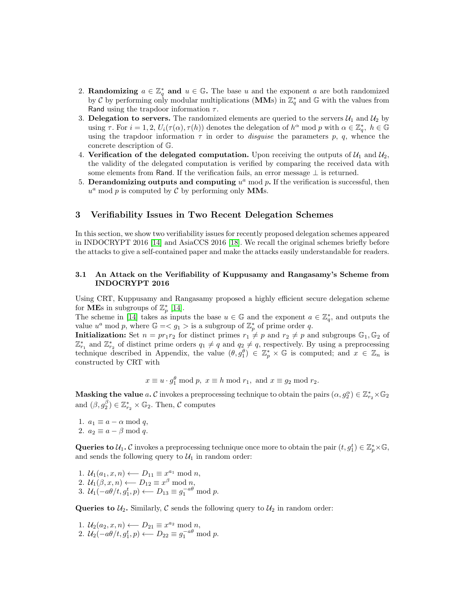- 2. **Randomizing**  $a \in \mathbb{Z}_q^*$  and  $u \in \mathbb{G}$ . The base u and the exponent a are both randomized by C by performing only modular multiplications (MMs) in  $\mathbb{Z}_q^*$  and G with the values from Rand using the trapdoor information  $\tau$ .
- 3. Delegation to servers. The randomized elements are queried to the servers  $\mathcal{U}_1$  and  $\mathcal{U}_2$  by using  $\tau$ . For  $i = 1, 2, U_i(\tau(\alpha), \tau(h))$  denotes the delegation of  $h^{\alpha}$  mod p with  $\alpha \in \mathbb{Z}_q^*$ ,  $h \in \mathbb{G}$ using the trapdoor information  $\tau$  in order to *disguise* the parameters p, q, whence the concrete description of G.
- 4. Verification of the delegated computation. Upon receiving the outputs of  $\mathcal{U}_1$  and  $\mathcal{U}_2$ , the validity of the delegated computation is verified by comparing the received data with some elements from Rand. If the verification fails, an error message  $\perp$  is returned.
- 5. Derandomizing outputs and computing  $u^a$  mod p. If the verification is successful, then  $u^a$  mod p is computed by C by performing only MMs.

# 3 Verifiability Issues in Two Recent Delegation Schemes

In this section, we show two verifiability issues for recently proposed delegation schemes appeared in INDOCRYPT 2016 [\[14\]](#page-17-4) and AsiaCCS 2016 [\[18\]](#page-17-1). We recall the original schemes briefly before the attacks to give a self-contained paper and make the attacks easily understandable for readers.

### 3.1 An Attack on the Verifiability of Kuppusamy and Rangasamy's Scheme from INDOCRYPT 2016

Using CRT, Kuppusamy and Rangasamy proposed a highly efficient secure delegation scheme for **ME**s in subgroups of  $\mathbb{Z}_p^*$  [\[14\]](#page-17-4).

The scheme in [\[14\]](#page-17-4) takes as inputs the base  $u \in \mathbb{G}$  and the exponent  $a \in \mathbb{Z}_q^*$ , and outputs the value  $u^a \mod p$ , where  $\mathbb{G} = \langle g_1 \rangle$  is a subgroup of  $\mathbb{Z}_p^*$  of prime order q.

**Initialization:** Set  $n = pr_1r_2$  for distinct primes  $r_1 \neq p$  and  $r_2 \neq p$  and subgroups  $\mathbb{G}_1, \mathbb{G}_2$  of  $\mathbb{Z}_{r_1}^*$  and  $\mathbb{Z}_{r_2}^*$  of distinct prime orders  $q_1 \neq q$  and  $q_2 \neq q$ , respectively. By using a preprocessing technique described in Appendix, the value  $(\theta, g_1^{\theta}) \in \mathbb{Z}_p^* \times \mathbb{G}$  is computed; and  $x \in \mathbb{Z}_n$  is constructed by CRT with

 $x \equiv u \cdot g_1^{\theta} \bmod p$ ,  $x \equiv h \bmod r_1$ , and  $x \equiv g_2 \bmod r_2$ .

**Masking the value**  $a$ . C invokes a preprocessing technique to obtain the pairs  $(\alpha, g_2^{\alpha}) \in \mathbb{Z}_{r_2}^* \times \mathbb{G}_2$ and  $(\beta, g_2^{\beta}) \in \mathbb{Z}_{r_2}^* \times \mathbb{G}_2$ . Then,  $\mathcal C$  computes

1.  $a_1 \equiv a - \alpha \mod q$ , 2.  $a_2 \equiv a - \beta \mod q$ .

Queries to  $\mathcal{U}_1$ . C invokes a preprocessing technique once more to obtain the pair  $(t, g_1^t) \in \mathbb{Z}_p^* \times \mathbb{G}$ , and sends the following query to  $\mathcal{U}_1$  in random order:

1.  $\mathcal{U}_1(a_1, x, n) \longleftarrow D_{11} \equiv x^{a_1} \bmod n$ , 2.  $\mathcal{U}_1(\beta, x, n) \longleftarrow D_{12} \equiv x^{\beta} \bmod n$ , 3.  $\mathcal{U}_1(-a\theta/t, g_1^t, p) \longleftarrow D_{13} \equiv g_1^{-a\theta} \bmod p.$ 

Queries to  $U_2$ . Similarly, C sends the following query to  $U_2$  in random order:

1.  $\mathcal{U}_2(a_2, x, n) \longleftarrow D_{21} \equiv x^{a_2} \bmod n$ , 2.  $\mathcal{U}_2(-a\theta/t, g_1^t, p) \longleftarrow D_{22} \equiv g_1^{-a\theta} \bmod p.$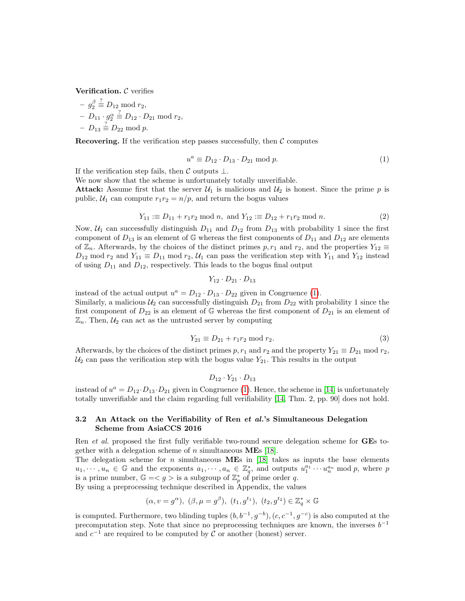Verification.  $C$  verifies

$$
- g_2^{\beta} \stackrel{?}{=} D_{12} \bmod r_2,
$$
  
- 
$$
D_{11} \cdot g_2^{\alpha} \stackrel{?}{=} D_{12} \cdot D_{21} \bmod r_2,
$$
  
- 
$$
D_{13} \stackrel{?}{=} D_{22} \bmod p.
$$

**Recovering.** If the verification step passes successfully, then  $\mathcal{C}$  computes

<span id="page-7-0"></span>
$$
u^a \equiv D_{12} \cdot D_{13} \cdot D_{21} \bmod p. \tag{1}
$$

If the verification step fails, then  $\mathcal C$  outputs  $\bot$ .

We now show that the scheme is unfortunately totally unverifiable.

**Attack:** Assume first that the server  $\mathcal{U}_1$  is malicious and  $\mathcal{U}_2$  is honest. Since the prime p is public,  $U_1$  can compute  $r_1r_2 = n/p$ , and return the bogus values

$$
Y_{11} := D_{11} + r_1 r_2 \text{ mod } n, \text{ and } Y_{12} := D_{12} + r_1 r_2 \text{ mod } n.
$$
 (2)

Now,  $U_1$  can successfully distinguish  $D_{11}$  and  $D_{12}$  from  $D_{13}$  with probability 1 since the first component of  $D_{13}$  is an element of G whereas the first components of  $D_{11}$  and  $D_{12}$  are elements of  $\mathbb{Z}_n$ . Afterwards, by the choices of the distinct primes  $p, r_1$  and  $r_2$ , and the properties  $Y_{12} \equiv$  $D_{12}$  mod  $r_2$  and  $Y_{11} \equiv D_{11}$  mod  $r_2$ ,  $U_1$  can pass the verification step with  $Y_{11}$  and  $Y_{12}$  instead of using  $D_{11}$  and  $D_{12}$ , respectively. This leads to the bogus final output

$$
Y_{12} \cdot D_{21} \cdot D_{13}
$$

instead of the actual output  $u^a = D_{12} \cdot D_{13} \cdot D_{22}$  given in Congruence [\(1\)](#page-7-0). Similarly, a malicious  $U_2$  can successfully distinguish  $D_{21}$  from  $D_{22}$  with probability 1 since the first component of  $D_{22}$  is an element of G whereas the first component of  $D_{21}$  is an element of  $\mathbb{Z}_n$ . Then,  $\mathcal{U}_2$  can act as the untrusted server by computing

$$
Y_{21} \equiv D_{21} + r_1 r_2 \mod r_2. \tag{3}
$$

Afterwards, by the choices of the distinct primes p,  $r_1$  and  $r_2$  and the property  $Y_{21} \equiv D_{21} \mod r_2$ ,  $U_2$  can pass the verification step with the bogus value  $Y_{21}$ . This results in the output

$$
D_{12}\cdot Y_{21}\cdot D_{13}
$$

instead of  $u^a = D_{12} \cdot D_{13} \cdot D_{21}$  given in Congruence [\(1\)](#page-7-0). Hence, the scheme in [\[14\]](#page-17-4) is unfortunately totally unverifiable and the claim regarding full verifiability [\[14,](#page-17-4) Thm. 2, pp. 90] does not hold.

### 3.2 An Attack on the Verifiability of Ren et al.'s Simultaneous Delegation Scheme from AsiaCCS 2016

Ren et al. proposed the first fully verifiable two-round secure delegation scheme for GEs together with a delegation scheme of  $n$  simultaneous **ME**s [\[18\]](#page-17-1).

The delegation scheme for n simultaneous  $MEs$  in [\[18\]](#page-17-1) takes as inputs the base elements  $u_1, \dots, u_n \in \mathbb{G}$  and the exponents  $a_1, \dots, a_n \in \mathbb{Z}_q^*$ , and outputs  $u_1^{a_1} \dots u_n^{a_n} \mod p$ , where p is a prime number,  $\mathbb{G} = \langle g \rangle$  is a subgroup of  $\mathbb{Z}_p^*$  of prime order q.

By using a preprocessing technique described in Appendix, the values

$$
(\alpha, v=g^\alpha),\ (\beta, \mu=g^\beta),\ (t_1,g^{t_1}),\ (t_2,g^{t_2})\in \mathbb{Z}_q^*\times \mathbb{G}
$$

is computed. Furthermore, two blinding tuples  $(b, b^{-1}, g^{-b})$ ,  $(c, c^{-1}, g^{-c})$  is also computed at the precomputation step. Note that since no preprocessing techniques are known, the inverses  $b^{-1}$ and  $c^{-1}$  are required to be computed by C or another (honest) server.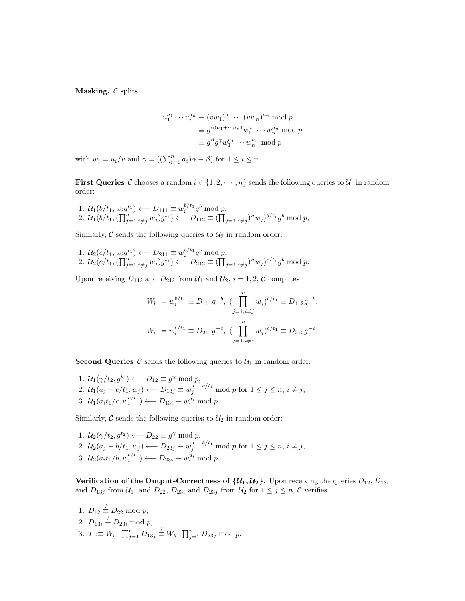Masking.  $C$  splits

$$
u_1^{a_1} \cdots u_n^{a_n} \equiv (vw_1)^{a_1} \cdots (vw_n)^{a_n} \bmod p
$$
  

$$
\equiv g^{\alpha(a_1 + \cdots a_n)} w_1^{a_1} \cdots w_n^{a_n} \bmod p
$$
  

$$
\equiv g^{\beta} g^{\gamma} w_1^{a_1} \cdots w_n^{a_n} \bmod p
$$

with  $w_i = u_i/v$  and  $\gamma = ((\sum_{i=1}^n a_i)\alpha - \beta)$  for  $1 \le i \le n$ .

**First Queries** C chooses a random  $i \in \{1, 2, \dots, n\}$  sends the following queries to  $\mathcal{U}_1$  in random order:

1.  $U_1(b/t_1, w_i g^{t_1}) \longleftarrow D_{111} \equiv w_i^{b/t_1} g^b \bmod p,$ 2.  $\mathcal{U}_1(b/t_1, (\prod_{j=1, i \neq j}^n w_j)g^{t_1}) \leftarrow D_{112} \equiv (\prod_{j=1, i \neq j}^n)^n w_j^{b/t_1} g^b \mod p,$ 

Similarly,  $\mathcal C$  sends the following queries to  $\mathcal U_2$  in random order:

1.  $U_2(c/t_1, w_i g^{t_1}) \longleftarrow D_{211} \equiv w_i^{c/t_1} g^c \bmod p,$ 2.  $\mathcal{U}_2(c/t_1, (\prod_{j=1, i \neq j}^n w_j)g^{t_1}) \longleftarrow D_{212} \equiv (\prod_{j=1, i \neq j}^n)^n w_j)^{c/t_1} g^b \bmod p.$ 

Upon receiving  $D_{11i}$  and  $D_{21i}$  from  $\mathcal{U}_1$  and  $\mathcal{U}_2$ ,  $i = 1, 2, \mathcal{C}$  computes

$$
W_b := w_i^{b/t_1} \equiv D_{111}g^{-b}, \ \ (\prod_{j=1, i \neq j}^n w_j)^{b/t_1} \equiv D_{112}g^{-b},
$$
  

$$
W_c := w_i^{c/t_1} \equiv D_{211}g^{-c}, \ \ (\prod_{j=1, i \neq j}^n w_j)^{c/t_1} \equiv D_{212}g^{-c}.
$$

**Second Queries**  $\mathcal{C}$  sends the following queries to  $\mathcal{U}_1$  in random order:

1.  $\mathcal{U}_1(\gamma/t_2, g^{t_2}) \longleftarrow D_{12} \equiv g^{\gamma} \bmod p,$ 2.  $U_1(a_j - c/t_1, w_j) \longleftarrow D_{13j} \equiv w_j^{a_j - c/t_1} \bmod p$  for  $1 \le j \le n, i \ne j$ , 3.  $U_1(a_it_1/c, w_i^{c/t_1}) \longleftarrow D_{13i} \equiv w_i^{a_i} \bmod p.$ 

Similarly,  $\mathcal C$  sends the following queries to  $\mathcal U_2$  in random order:

1.  $\mathcal{U}_2(\gamma/t_2, g^{t_2}) \longleftarrow D_{22} \equiv g^{\gamma} \bmod p,$ 2.  $\mathcal{U}_2(a_j - b/t_1, w_j) \longleftarrow D_{23j} \equiv w_j^{a_j - b/t_1} \bmod p$  for  $1 \le j \le n, i \ne j$ , 3.  $\mathcal{U}_2(a_i t_1/b, w_i^{b/t_1}) \longleftarrow D_{23i} \equiv w_i^{a_i} \text{ mod } p.$ 

Verification of the Output-Correctness of  $\{\mathcal{U}_1, \mathcal{U}_2\}$ . Upon receiving the queries  $D_{12}, D_{13i}$ and  $D_{13j}$  from  $U_1$ , and  $D_{22}$ ,  $D_{23i}$  and  $D_{23j}$  from  $U_2$  for  $1 \le j \le n$ ,  $C$  verifies

1.  $D_{12} \equiv D_{22} \bmod p$ , 2.  $D_{13i} \stackrel{?}{\equiv} D_{23i} \bmod p$ , 3.  $T := W_c \cdot \prod_{j=1}^n D_{13j} \stackrel{?}{=} W_b \cdot \prod_{j=1}^n D_{23j} \text{ mod } p.$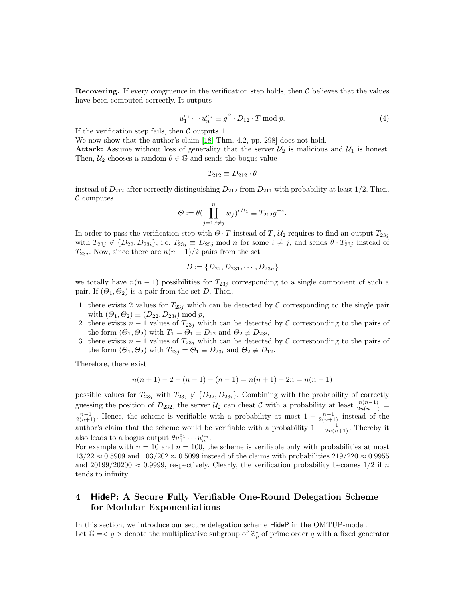Recovering. If every congruence in the verification step holds, then  $\mathcal C$  believes that the values have been computed correctly. It outputs

$$
u_1^{a_1} \cdots u_n^{a_n} \equiv g^\beta \cdot D_{12} \cdot T \bmod p. \tag{4}
$$

If the verification step fails, then  $\mathcal C$  outputs  $\perp$ .

We now show that the author's claim [\[18,](#page-17-1) Thm. 4.2, pp. 298] does not hold.

**Attack:** Assume without loss of generality that the server  $\mathcal{U}_2$  is malicious and  $\mathcal{U}_1$  is honest. Then,  $U_2$  chooses a random  $\theta \in \mathbb{G}$  and sends the bogus value

$$
T_{212} \equiv D_{212} \cdot \theta
$$

instead of  $D_{212}$  after correctly distinguishing  $D_{212}$  from  $D_{211}$  with probability at least 1/2. Then,  $\mathcal C$  computes

$$
\Theta := \theta \left( \prod_{j=1, i \neq j}^{n} w_j \right)^{c/t_1} \equiv T_{212} g^{-c}.
$$

In order to pass the verification step with  $\Theta \cdot T$  instead of T,  $\mathcal{U}_2$  requires to find an output  $T_{23j}$ with  $T_{23j} \notin \{D_{22}, D_{23i}\}$ , i.e.  $T_{23j} \equiv D_{23j} \mod n$  for some  $i \neq j$ , and sends  $\theta \cdot T_{23j}$  instead of  $T_{23j}$ . Now, since there are  $n(n+1)/2$  pairs from the set

$$
D := \{D_{22}, D_{231}, \cdots, D_{23n}\}
$$

we totally have  $n(n-1)$  possibilities for  $T_{23j}$  corresponding to a single component of such a pair. If  $(\Theta_1, \Theta_2)$  is a pair from the set D. Then,

- 1. there exists 2 values for  $T_{23j}$  which can be detected by C corresponding to the single pair with  $(\Theta_1, \Theta_2) \equiv (D_{22}, D_{23i}) \bmod p$ ,
- 2. there exists  $n-1$  values of  $T_{23j}$  which can be detected by C corresponding to the pairs of the form  $(\Theta_1, \Theta_2)$  with  $T_1 = \Theta_1 \equiv D_{22}$  and  $\Theta_2 \not\equiv D_{23i}$ ,
- 3. there exists  $n-1$  values of  $T_{23j}$  which can be detected by C corresponding to the pairs of the form  $(\Theta_1, \Theta_2)$  with  $T_{23j} = \Theta_1 \equiv D_{23i}$  and  $\Theta_2 \not\equiv D_{12}$ .

Therefore, there exist

$$
n(n+1) - 2 - (n-1) - (n-1) = n(n+1) - 2n = n(n-1)
$$

possible values for  $T_{23j}$  with  $T_{23j} \notin \{D_{22}, D_{23i}\}.$  Combining with the probability of correctly guessing the position of  $D_{232}$ , the server  $\mathcal{U}_2$  can cheat C with a probability at least  $\frac{n(n-1)}{2n(n+1)}$  $\frac{n-1}{2(n+1)}$ . Hence, the scheme is verifiable with a probability at most  $1-\frac{n-1}{2(n+1)}$  instead of the author's claim that the scheme would be verifiable with a probability  $1 - \frac{1}{2n(n+1)}$ . Thereby it also leads to a bogus output  $\theta u_1^{a_1} \cdots u_n^{a_n}$ .

For example with  $n = 10$  and  $n = 100$ , the scheme is verifiable only with probabilities at most  $13/22 \approx 0.5909$  and  $103/202 \approx 0.5099$  instead of the claims with probabilities  $219/220 \approx 0.9955$ and 20199/20200  $\approx 0.9999$ , respectively. Clearly, the verification probability becomes 1/2 if n tends to infinity.

# <span id="page-9-0"></span>4 HideP: A Secure Fully Verifiable One-Round Delegation Scheme for Modular Exponentiations

In this section, we introduce our secure delegation scheme HideP in the OMTUP-model. Let  $\mathbb{G} = \langle g \rangle$  denote the multiplicative subgroup of  $\mathbb{Z}_p^*$  of prime order q with a fixed generator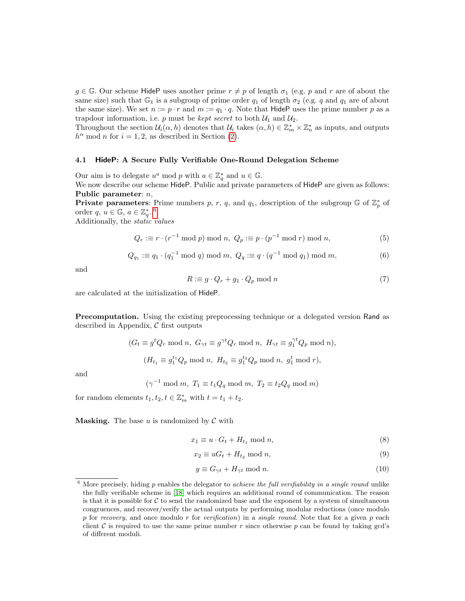$g \in \mathbb{G}$ . Our scheme HideP uses another prime  $r \neq p$  of length  $\sigma_1$  (e.g. p and r are of about the same size) such that  $\mathbb{G}_1$  is a subgroup of prime order  $q_1$  of length  $\sigma_2$  (e.g. q and  $q_1$  are of about the same size). We set  $n := p \cdot r$  and  $m := q_1 \cdot q$ . Note that HideP uses the prime number p as a trapdoor information, i.e. p must be kept secret to both  $\mathcal{U}_1$  and  $\mathcal{U}_2$ .

Throughout the section  $\mathcal{U}_i(\alpha, h)$  denotes that  $\mathcal{U}_i$  takes  $(\alpha, h) \in \mathbb{Z}_m^* \times \mathbb{Z}_n^*$  as inputs, and outputs  $h^{\alpha}$  mod *n* for  $i = 1, 2$ , as described in Section [\(2\)](#page-2-1).

#### 4.1 HideP: A Secure Fully Verifiable One-Round Delegation Scheme

Our aim is to delegate  $u^a \mod p$  with  $a \in \mathbb{Z}_q^*$  and  $u \in \mathbb{G}$ .

We now describe our scheme HideP. Public and private parameters of HideP are given as follows: Public parameter: n,

**Private parameters:** Prime numbers p, r, q, and  $q_1$ , description of the subgroup  $\mathbb{G}$  of  $\mathbb{Z}_p^*$  of order  $q, u \in \mathbb{G}, a \in \mathbb{Z}_q^*$ ..<sup>[6](#page-10-0)</sup>

Additionally, the static values

$$
Q_r := r \cdot (r^{-1} \bmod p) \bmod n, \ Q_p := p \cdot (p^{-1} \bmod r) \bmod n,
$$
 (5)

$$
Q_{q_1} := q_1 \cdot (q_1^{-1} \bmod q) \bmod m, \ Q_q := q \cdot (q^{-1} \bmod q_1) \bmod m,
$$
 (6)

and

$$
R := g \cdot Q_r + g_1 \cdot Q_p \mod n \tag{7}
$$

are calculated at the initialization of HideP.

Precomputation. Using the existing preprocessing technique or a delegated version Rand as described in Appendix,  $\mathcal C$  first outputs

$$
(G_t \equiv g^t Q_r \mod n, \ G_{\gamma t} \equiv g^{\gamma t} Q_r \mod n, \ H_{\gamma t} \equiv g_1^{\gamma t} Q_p \mod n),
$$

$$
(H_{t_1} \equiv g_1^{t_1} Q_p \mod n, \ H_{t_2} \equiv g_1^{t_2} Q_p \mod n, \ g_1^t \mod r),
$$

and

$$
(\gamma^{-1} \bmod m, T_1 \equiv t_1 Q_q \bmod m, T_2 \equiv t_2 Q_q \bmod m)
$$

for random elements  $t_1, t_2, t \in \mathbb{Z}_m^*$  with  $t = t_1 + t_2$ .

**Masking.** The base u is randomized by  $\mathcal{C}$  with

$$
x_1 \equiv u \cdot G_t + H_{t_1} \bmod n,\tag{8}
$$

$$
x_2 \equiv uG_t + H_{t_2} \bmod n,\tag{9}
$$

$$
y \equiv G_{\gamma t} + H_{\gamma t} \text{ mod } n. \tag{10}
$$

<span id="page-10-0"></span> $6$  More precisely, hiding p enables the delegator to achieve the full verifiability in a single round unlike the fully verifiable scheme in [\[18\]](#page-17-1) which requires an additional round of communication. The reason is that it is possible for  $\mathcal C$  to send the randomized base and the exponent by a system of simultaneous congruences, and recover/verify the actual outputs by performing modular reductions (once modulo p for recovery, and once modulo r for verification) in a single round. Note that for a given  $p$  each client  $\mathcal C$  is required to use the same prime number r since otherwise p can be found by taking gcd's of different moduli.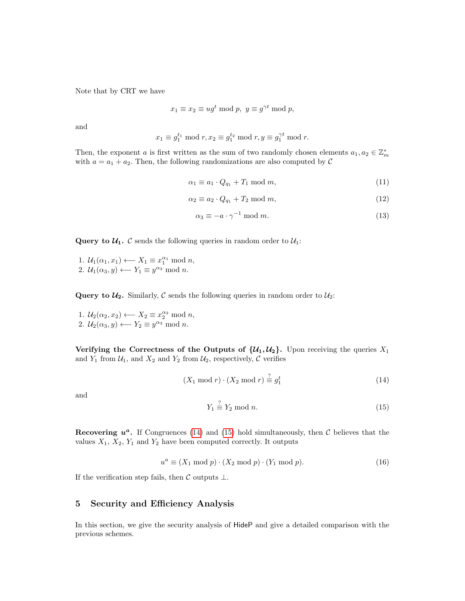Note that by CRT we have

$$
x_1 \equiv x_2 \equiv ug^t \bmod p, \ y \equiv g^{\gamma t} \bmod p,
$$

and

$$
x_1 \equiv g_1^{t_1} \bmod r, x_2 \equiv g_1^{t_2} \bmod r, y \equiv g_1^{\gamma t} \bmod r.
$$

Then, the exponent a is first written as the sum of two randomly chosen elements  $a_1, a_2 \in \mathbb{Z}_m^*$ with  $a = a_1 + a_2$ . Then, the following randomizations are also computed by C

$$
\alpha_1 \equiv a_1 \cdot Q_{q_1} + T_1 \bmod m,\tag{11}
$$

$$
\alpha_2 \equiv a_2 \cdot Q_{q_1} + T_2 \mod m,\tag{12}
$$

$$
\alpha_3 \equiv -a \cdot \gamma^{-1} \bmod m. \tag{13}
$$

**Query to**  $\mathcal{U}_1$ **.**  $\mathcal{C}$  sends the following queries in random order to  $\mathcal{U}_1$ :

1.  $\mathcal{U}_1(\alpha_1, x_1) \longleftarrow X_1 \equiv x_1^{\alpha_1} \bmod n$ , 2.  $\mathcal{U}_1(\alpha_3, y) \longleftarrow Y_1 \equiv y^{\alpha_3} \bmod n.$ 

**Query to**  $\mathcal{U}_2$ **.** Similarly, C sends the following queries in random order to  $\mathcal{U}_2$ :

1.  $\mathcal{U}_2(\alpha_2, x_2) \longleftarrow X_2 \equiv x_2^{\alpha_2} \bmod n$ , 2.  $\mathcal{U}_2(\alpha_3, y) \longleftarrow Y_2 \equiv y^{\alpha_3} \bmod n.$ 

Verifying the Correctness of the Outputs of  $\{u_1, u_2\}$ . Upon receiving the queries  $X_1$ and  $Y_1$  from  $\mathcal{U}_1$ , and  $X_2$  and  $Y_2$  from  $\mathcal{U}_2$ , respectively, C verifies

<span id="page-11-0"></span>
$$
(X_1 \bmod r) \cdot (X_2 \bmod r) \stackrel{?}{=} g_1^t \tag{14}
$$

and

<span id="page-11-1"></span>
$$
Y_1 \stackrel{?}{\equiv} Y_2 \bmod n. \tag{15}
$$

Recovering  $u^a$ . If Congruences [\(14\)](#page-11-0) and [\(15\)](#page-11-1) hold simultaneously, then C believes that the values  $X_1$ ,  $X_2$ ,  $Y_1$  and  $Y_2$  have been computed correctly. It outputs

$$
u^{a} \equiv (X_{1} \bmod p) \cdot (X_{2} \bmod p) \cdot (Y_{1} \bmod p). \tag{16}
$$

If the verification step fails, then  $\mathcal C$  outputs  $\bot$ .

# 5 Security and Efficiency Analysis

In this section, we give the security analysis of HideP and give a detailed comparison with the previous schemes.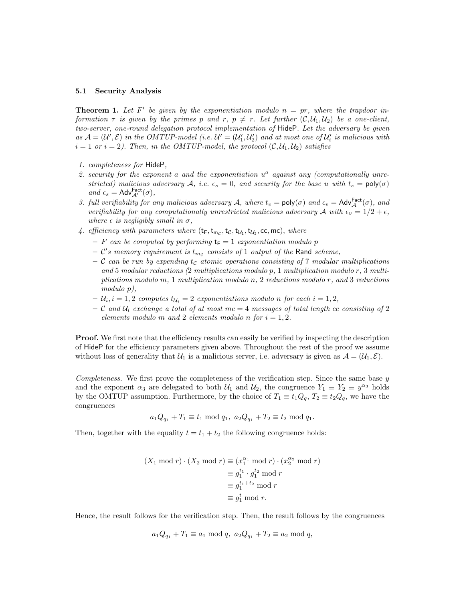#### 5.1 Security Analysis

<span id="page-12-0"></span>**Theorem 1.** Let F' be given by the exponentiation modulo  $n = pr$ , where the trapdoor information  $\tau$  is given by the primes p and  $r, p \neq r$ . Let further  $(C, U_1, U_2)$  be a one-client, two-server, one-round delegation protocol implementation of HideP. Let the adversary be given as  $A = (U', \mathcal{E})$  in the OMTUP-model (i.e.  $U' = (U'_1, U'_2)$  and at most one of  $U'_i$  is malicious with  $i = 1$  or  $i = 2$ ). Then, in the OMTUP-model, the protocol  $(C, U_1, U_2)$  satisfies

- 1. completeness for HideP,
- 2. security for the exponent a and the exponentiation  $u^a$  against any (computationally unrestricted) malicious adversary A, i.e.  $\epsilon_s = 0$ , and security for the base u with  $t_s = \text{poly}(\sigma)$ and  $\epsilon_s = \mathsf{Adv}_{\mathcal{A}'}^{\mathsf{Fact}}(\sigma)$ ,
- 3. full verifiability for any malicious adversary A, where  $t_v = \text{poly}(\sigma)$  and  $\epsilon_v = \text{Adv}_{\mathcal{A}}^{\text{Fact}}(\sigma)$ , and verifiability for any computationally unrestricted malicious adversary A with  $\epsilon_v = 1/2 + \epsilon$ , where  $\epsilon$  is negligibly small in  $\sigma$ ,
- 4. efficiency with parameters where  $(t_F, t_{mc}, t_C, t_{U_1}, t_{U_2}, cc, mc)$ , where
	- F can be computed by performing  $t_F = 1$  exponentiation modulo p
	- $-$  C's memory requirement is  $t_{m_c}$  consists of 1 output of the Rand scheme,
	- C can be run by expending  $t_c$  atomic operations consisting of 7 modular multiplications and 5 modular reductions (2 multiplications modulo p, 1 multiplication modulo r, 3 multiplications modulo m, 1 multiplication modulo n, 2 reductions modulo r, and 3 reductions modulo p),
	- $-\mathcal{U}_i, i = 1, 2$  computes  $t_{\mathcal{U}_i} = 2$  exponentiations modulo n for each  $i = 1, 2$ ,
	- C and  $U_i$  exchange a total of at most mc = 4 messages of total length cc consisting of 2 elements modulo m and 2 elements modulo n for  $i = 1, 2$ .

Proof. We first note that the efficiency results can easily be verified by inspecting the description of HideP for the efficiency parameters given above. Throughout the rest of the proof we assume without loss of generality that  $\mathcal{U}_1$  is a malicious server, i.e. adversary is given as  $\mathcal{A} = (\mathcal{U}_1, \mathcal{E})$ .

Completeness. We first prove the completeness of the verification step. Since the same base y and the exponent  $\alpha_3$  are delegated to both  $\mathcal{U}_1$  and  $\mathcal{U}_2$ , the congruence  $Y_1 \equiv Y_2 \equiv y^{\alpha_3}$  holds by the OMTUP assumption. Furthermore, by the choice of  $T_1 \equiv t_1 Q_q$ ,  $T_2 \equiv t_2 Q_q$ , we have the congruences

$$
a_1Q_{q_1} + T_1 \equiv t_1 \mod q_1, \ a_2Q_{q_1} + T_2 \equiv t_2 \mod q_1.
$$

Then, together with the equality  $t = t_1 + t_2$  the following congruence holds:

$$
(X_1 \bmod r) \cdot (X_2 \bmod r) \equiv (x_1^{\alpha_1} \bmod r) \cdot (x_2^{\alpha_2} \bmod r)
$$

$$
\equiv g_1^{t_1} \cdot g_1^{t_2} \bmod r
$$

$$
\equiv g_1^{t_1+t_2} \bmod r
$$

$$
\equiv g_1^t \bmod r.
$$

Hence, the result follows for the verification step. Then, the result follows by the congruences

$$
a_1Q_{q_1} + T_1 \equiv a_1 \mod q, \ a_2Q_{q_1} + T_2 \equiv a_2 \mod q,
$$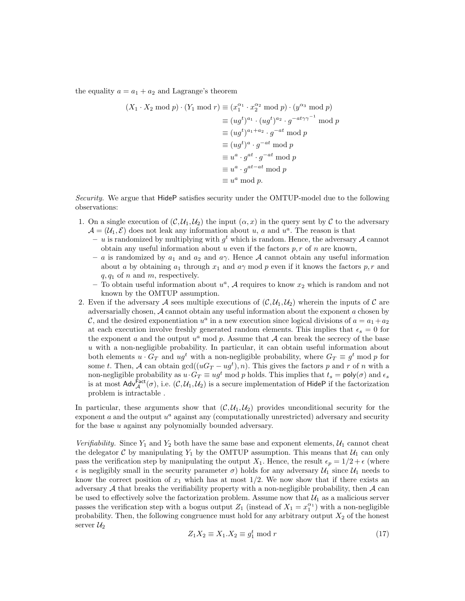the equality  $a = a_1 + a_2$  and Lagrange's theorem

$$
(X_1 \cdot X_2 \mod p) \cdot (Y_1 \mod r) \equiv (x_1^{\alpha_1} \cdot x_2^{\alpha_2} \mod p) \cdot (y^{\alpha_3} \mod p)
$$
  

$$
\equiv (ug^t)^{a_1} \cdot (ug^t)^{a_2} \cdot g^{-at\gamma\gamma^{-1}} \mod p
$$
  

$$
\equiv (ug^t)^{a_1+a_2} \cdot g^{-at} \mod p
$$
  

$$
\equiv (ug^t)^a \cdot g^{-at} \mod p
$$
  

$$
\equiv u^a \cdot g^{at} \cdot g^{-at} \mod p
$$
  

$$
\equiv u^a \cdot g^{at-at} \mod p
$$
  

$$
\equiv u^a \mod p.
$$

Security. We argue that HideP satisfies security under the OMTUP-model due to the following observations:

- 1. On a single execution of  $(C, U_1, U_2)$  the input  $(\alpha, x)$  in the query sent by C to the adversary  $\mathcal{A} = (\mathcal{U}_1, \mathcal{E})$  does not leak any information about u, a and  $u^a$ . The reason is that
	- u is randomized by multiplying with  $g^t$  which is random. Hence, the adversary A cannot obtain any useful information about u even if the factors  $p, r$  of n are known,
	- a is randomized by  $a_1$  and  $a_2$  and  $a_3$ . Hence A cannot obtain any useful information about a by obtaining  $a_1$  through  $x_1$  and  $a\gamma$  mod p even if it knows the factors p, r and  $q, q_1$  of n and m, respectively.
	- To obtain useful information about  $u^a$ , A requires to know  $x_2$  which is random and not known by the OMTUP assumption.
- 2. Even if the adversary A sees multiple executions of  $(C, U_1, U_2)$  wherein the inputs of C are adversarially chosen,  $A$  cannot obtain any useful information about the exponent  $a$  chosen by C, and the desired exponentiation  $u^a$  in a new execution since logical divisions of  $a = a_1 + a_2$ at each execution involve freshly generated random elements. This implies that  $\epsilon_s = 0$  for the exponent a and the output  $u^a$  mod p. Assume that A can break the secrecy of the base  $u$  with a non-negligible probability. In particular, it can obtain useful information about both elements  $u \cdot G_T$  and  $ug^t$  with a non-negligible probability, where  $G_T \equiv g^t \mod p$  for some t. Then, A can obtain  $gcd((uG_T - ug^t), n)$ . This gives the factors p and r of n with a non-negligible probability as  $u \cdot G_T \equiv ug^t \mod p$  holds. This implies that  $t_s = \text{poly}(\sigma)$  and  $\epsilon_s$ is at most  $\mathsf{Adv}_{\mathcal{A}}^{\mathsf{Fact}}(\sigma)$ , i.e.  $(\mathcal{C}, \mathcal{U}_1, \mathcal{U}_2)$  is a secure implementation of HideP if the factorization problem is intractable .

In particular, these arguments show that  $(C, \mathcal{U}_1, \mathcal{U}_2)$  provides unconditional security for the exponent  $a$  and the output  $u^a$  against any (computationally unrestricted) adversary and security for the base u against any polynomially bounded adversary.

Verifiability. Since  $Y_1$  and  $Y_2$  both have the same base and exponent elements,  $\mathcal{U}_1$  cannot cheat the delegator C by manipulating  $Y_1$  by the OMTUP assumption. This means that  $\mathcal{U}_1$  can only pass the verification step by manipulating the output  $X_1$ . Hence, the result  $\epsilon_p = 1/2 + \epsilon$  (where  $\epsilon$  is negligibly small in the security parameter  $\sigma$ ) holds for any adversary  $\mathcal{U}_1$  since  $\mathcal{U}_1$  needs to know the correct position of  $x_1$  which has at most  $1/2$ . We now show that if there exists an adversary  $A$  that breaks the verifiability property with a non-negligible probability, then  $A$  can be used to effectively solve the factorization problem. Assume now that  $\mathcal{U}_1$  as a malicious server passes the verification step with a bogus output  $Z_1$  (instead of  $X_1 = x_1^{\alpha_1}$ ) with a non-negligible probability. Then, the following congruence must hold for any arbitrary output  $X_2$  of the honest server  $\mathcal{U}_2$ 

<span id="page-13-0"></span>
$$
Z_1 X_2 \equiv X_1 . X_2 \equiv g_1^t \bmod r \tag{17}
$$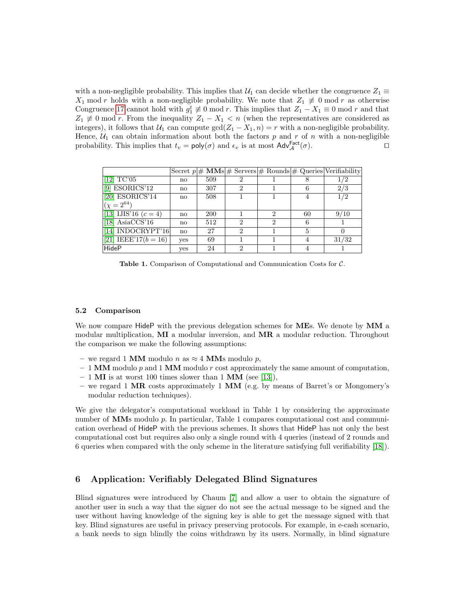with a non-negligible probability. This implies that  $\mathcal{U}_1$  can decide whether the congruence  $Z_1 \equiv$  $X_1$  mod r holds with a non-negligible probability. We note that  $Z_1 \not\equiv 0 \mod r$  as otherwise Congruence [17](#page-13-0) cannot hold with  $g_1^t \neq 0 \text{ mod } r$ . This implies that  $Z_1 - X_1 \equiv 0 \text{ mod } r$  and that  $Z_1 \not\equiv 0 \mod r$ . From the inequality  $Z_1 - X_1 < n$  (when the representatives are considered as integers), it follows that  $U_1$  can compute  $gcd(Z_1 - X_1, n) = r$  with a non-negligible probability. Hence,  $U_1$  can obtain information about both the factors p and r of n with a non-negligible probability. This implies that  $t_v = \text{poly}(\sigma)$  and  $\epsilon_v$  is at most  $\text{Adv}_{\mathcal{A}}^{\text{Fact}}(\sigma)$ .

|                                                  |              |            |               |                             |    | Secret $p \neq \mathbf{MMs}$ $\neq$ Servers $\neq$ Rounds $\neq$ Queries Verifiability |
|--------------------------------------------------|--------------|------------|---------------|-----------------------------|----|----------------------------------------------------------------------------------------|
| $\left  \left[ 12\right] \right. \mathrm{TC'}05$ | $\mathbf{n}$ | 509        |               |                             |    | 1/2                                                                                    |
| $[9]$ ESORICS'12                                 | $\mathbf{n}$ | 307        | 2             |                             |    | 2/3                                                                                    |
| $[20]$ ESORICS'14                                | no           | 508        |               |                             |    | 1/2                                                                                    |
| $(x = 2^{64})$                                   |              |            |               |                             |    |                                                                                        |
| [13] IJIS'16 $(c = 4)$                           | no           | <b>200</b> |               | 9                           | 60 | 9/10                                                                                   |
| [18] Asia $CCS'16$                               | no           | 512        | 2             | $\mathcal{D}_{\mathcal{L}}$ |    |                                                                                        |
| [14] INDOCRYPT'16]                               | $\mathbf{n}$ | 27         | 2             |                             |    |                                                                                        |
| [21] IEEE'17( $b = 16$ )                         | <b>ves</b>   | 69         |               |                             |    | 31/32                                                                                  |
| HideP                                            | yes          | 24         | $\mathcal{D}$ |                             |    |                                                                                        |

Table 1. Comparison of Computational and Communication Costs for C.

#### <span id="page-14-0"></span>5.2 Comparison

We now compare HideP with the previous delegation schemes for MEs. We denote by MM a modular multiplication,  $\overline{M}I$  a modular inversion, and  $\overline{M}R$  a modular reduction. Throughout the comparison we make the following assumptions:

- we regard 1 MM modulo n as  $\approx$  4 MMs modulo p,
- $-1$  MM modulo p and 1 MM modulo r cost approximately the same amount of computation,
- $-1$  MI is at worst 100 times slower than 1 MM (see [\[13\]](#page-17-0)),
- we regard 1 MR costs approximately 1 MM (e.g. by means of Barret's or Mongomery's modular reduction techniques).

We give the delegator's computational workload in Table 1 by considering the approximate number of  $\overline{\text{MMs}}$  modulo p. In particular, Table 1 compares computational cost and communication overhead of HideP with the previous schemes. It shows that HideP has not only the best computational cost but requires also only a single round with 4 queries (instead of 2 rounds and 6 queries when compared with the only scheme in the literature satisfying full verifiability [\[18\]](#page-17-1)).

### 6 Application: Verifiably Delegated Blind Signatures

Blind signatures were introduced by Chaum [\[7\]](#page-16-4) and allow a user to obtain the signature of another user in such a way that the signer do not see the actual message to be signed and the user without having knowledge of the signing key is able to get the message signed with that key. Blind signatures are useful in privacy preserving protocols. For example, in e-cash scenario, a bank needs to sign blindly the coins withdrawn by its users. Normally, in blind signature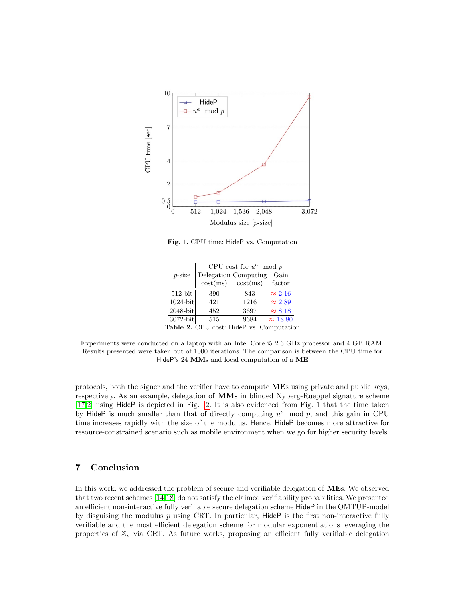

Fig. 1. CPU time: HideP vs. Computation

|           |                                          | CPU cost for $u^a \mod p$ |                      |                 |  |  |  |  |
|-----------|------------------------------------------|---------------------------|----------------------|-----------------|--|--|--|--|
| $p$ -size |                                          |                           | Delegation Computing | Gain            |  |  |  |  |
|           |                                          | $\cos t$ (ms)             | $\cos(t)$            | factor          |  |  |  |  |
|           | $512$ -bit                               | 390                       | 843                  | $\approx 2.16$  |  |  |  |  |
|           | $1024$ -bit                              | 421                       | 1216                 | $\approx 2.89$  |  |  |  |  |
|           | $2048$ -bit                              | 452                       | 3697                 | $\approx 8.18$  |  |  |  |  |
|           | 3072-bit                                 | 515                       | 9684                 | $\approx 18.80$ |  |  |  |  |
|           | Table 2. CPU cost: HideP vs. Computation |                           |                      |                 |  |  |  |  |

Experiments were conducted on a laptop with an Intel Core i5 2.6 GHz processor and 4 GB RAM. Results presented were taken out of 1000 iterations. The comparison is between the CPU time for HideP's 24 MMs and local computation of a ME

protocols, both the signer and the verifier have to compute MEs using private and public keys, respectively. As an example, delegation of MMs in blinded Nyberg-Rueppel signature scheme [\[17,](#page-17-6)[2\]](#page-16-5) using HideP is depicted in Fig. [2.](#page-16-6) It is also evidenced from Fig. 1 that the time taken by HideP is much smaller than that of directly computing  $u^a \mod p$ , and this gain in CPU time increases rapidly with the size of the modulus. Hence, HideP becomes more attractive for resource-constrained scenario such as mobile environment when we go for higher security levels.

# 7 Conclusion

In this work, we addressed the problem of secure and verifiable delegation of MEs. We observed that two recent schemes [\[14,](#page-17-4)[18\]](#page-17-1) do not satisfy the claimed verifiability probabilities. We presented an efficient non-interactive fully verifiable secure delegation scheme HideP in the OMTUP-model by disguising the modulus  $p$  using CRT. In particular, HideP is the first non-interactive fully verifiable and the most efficient delegation scheme for modular exponentiations leveraging the properties of  $\mathbb{Z}_p$  via CRT. As future works, proposing an efficient fully verifiable delegation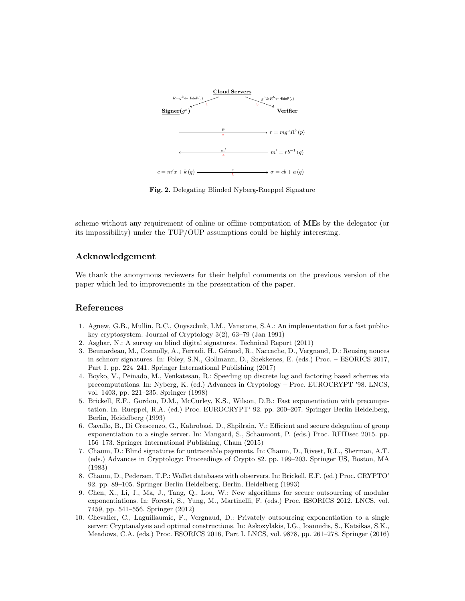<span id="page-16-6"></span>

Fig. 2. Delegating Blinded Nyberg-Rueppel Signature

scheme without any requirement of online or offline computation of MEs by the delegator (or its impossibility) under the TUP/OUP assumptions could be highly interesting.

# Acknowledgement

We thank the anonymous reviewers for their helpful comments on the previous version of the paper which led to improvements in the presentation of the paper.

# References

- <span id="page-16-9"></span>1. Agnew, G.B., Mullin, R.C., Onyszchuk, I.M., Vanstone, S.A.: An implementation for a fast publickey cryptosystem. Journal of Cryptology 3(2), 63–79 (Jan 1991)
- <span id="page-16-5"></span>2. Asghar, N.: A survey on blind digital signatures. Technical Report (2011)
- <span id="page-16-10"></span>3. Beunardeau, M., Connolly, A., Ferradi, H., Géraud, R., Naccache, D., Vergnaud, D.: Reusing nonces in schnorr signatures. In: Foley, S.N., Gollmann, D., Snekkenes, E. (eds.) Proc. – ESORICS 2017, Part I. pp. 224–241. Springer International Publishing (2017)
- <span id="page-16-8"></span>4. Boyko, V., Peinado, M., Venkatesan, R.: Speeding up discrete log and factoring based schemes via precomputations. In: Nyberg, K. (ed.) Advances in Cryptology – Proc. EUROCRYPT '98. LNCS, vol. 1403, pp. 221–235. Springer (1998)
- <span id="page-16-7"></span>5. Brickell, E.F., Gordon, D.M., McCurley, K.S., Wilson, D.B.: Fast exponentiation with precomputation. In: Rueppel, R.A. (ed.) Proc. EUROCRYPT' 92. pp. 200–207. Springer Berlin Heidelberg, Berlin, Heidelberg (1993)
- <span id="page-16-3"></span>6. Cavallo, B., Di Crescenzo, G., Kahrobaei, D., Shpilrain, V.: Efficient and secure delegation of group exponentiation to a single server. In: Mangard, S., Schaumont, P. (eds.) Proc. RFIDsec 2015. pp. 156–173. Springer International Publishing, Cham (2015)
- <span id="page-16-4"></span>7. Chaum, D.: Blind signatures for untraceable payments. In: Chaum, D., Rivest, R.L., Sherman, A.T. (eds.) Advances in Cryptology: Proceedings of Crypto 82. pp. 199–203. Springer US, Boston, MA (1983)
- <span id="page-16-0"></span>8. Chaum, D., Pedersen, T.P.: Wallet databases with observers. In: Brickell, E.F. (ed.) Proc. CRYPTO' 92. pp. 89–105. Springer Berlin Heidelberg, Berlin, Heidelberg (1993)
- <span id="page-16-1"></span>9. Chen, X., Li, J., Ma, J., Tang, Q., Lou, W.: New algorithms for secure outsourcing of modular exponentiations. In: Foresti, S., Yung, M., Martinelli, F. (eds.) Proc. ESORICS 2012. LNCS, vol. 7459, pp. 541–556. Springer (2012)
- <span id="page-16-2"></span>10. Chevalier, C., Laguillaumie, F., Vergnaud, D.: Privately outsourcing exponentiation to a single server: Cryptanalysis and optimal constructions. In: Askoxylakis, I.G., Ioannidis, S., Katsikas, S.K., Meadows, C.A. (eds.) Proc. ESORICS 2016, Part I. LNCS, vol. 9878, pp. 261–278. Springer (2016)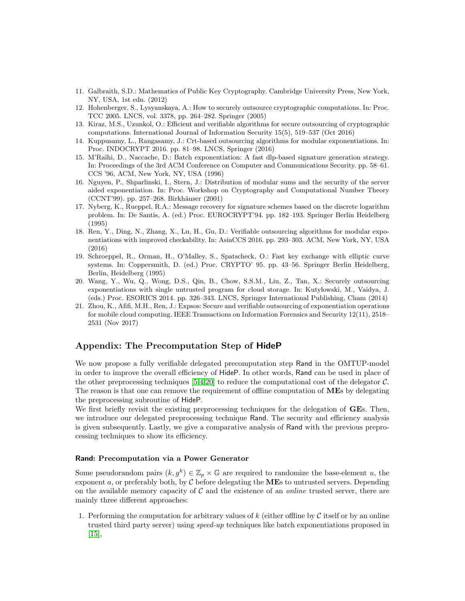- <span id="page-17-8"></span>11. Galbraith, S.D.: Mathematics of Public Key Cryptography. Cambridge University Press, New York, NY, USA, 1st edn. (2012)
- <span id="page-17-2"></span>12. Hohenberger, S., Lysyanskaya, A.: How to securely outsource cryptographic computations. In: Proc. TCC 2005. LNCS, vol. 3378, pp. 264–282. Springer (2005)
- <span id="page-17-0"></span>13. Kiraz, M.S., Uzunkol, O.: Efficient and verifiable algorithms for secure outsourcing of cryptographic computations. International Journal of Information Security 15(5), 519–537 (Oct 2016)
- <span id="page-17-4"></span>14. Kuppusamy, L., Rangasamy, J.: Crt-based outsourcing algorithms for modular exponentiations. In: Proc. INDOCRYPT 2016. pp. 81–98. LNCS, Springer (2016)
- <span id="page-17-7"></span>15. M'Ra¨ıhi, D., Naccache, D.: Batch exponentiation: A fast dlp-based signature generation strategy. In: Proceedings of the 3rd ACM Conference on Computer and Communications Security. pp. 58–61. CCS '96, ACM, New York, NY, USA (1996)
- <span id="page-17-10"></span>16. Nguyen, P., Shparlinski, I., Stern, J.: Distribution of modular sums and the security of the server aided exponentiation. In: Proc. Workshop on Cryptography and Computational Number Theory (CCNT'99). pp. 257–268. Birkhäuser (2001)
- <span id="page-17-6"></span>17. Nyberg, K., Rueppel, R.A.: Message recovery for signature schemes based on the discrete logarithm problem. In: De Santis, A. (ed.) Proc. EUROCRYPT'94. pp. 182–193. Springer Berlin Heidelberg (1995)
- <span id="page-17-1"></span>18. Ren, Y., Ding, N., Zhang, X., Lu, H., Gu, D.: Verifiable outsourcing algorithms for modular exponentiations with improved checkability. In: AsiaCCS 2016. pp. 293–303. ACM, New York, NY, USA (2016)
- <span id="page-17-9"></span>19. Schroeppel, R., Orman, H., O'Malley, S., Spatscheck, O.: Fast key exchange with elliptic curve systems. In: Coppersmith, D. (ed.) Proc. CRYPTO' 95. pp. 43–56. Springer Berlin Heidelberg, Berlin, Heidelberg (1995)
- <span id="page-17-3"></span>20. Wang, Y., Wu, Q., Wong, D.S., Qin, B., Chow, S.S.M., Liu, Z., Tan, X.: Securely outsourcing exponentiations with single untrusted program for cloud storage. In: Kutylowski, M., Vaidya, J. (eds.) Proc. ESORICS 2014. pp. 326–343. LNCS, Springer International Publishing, Cham (2014)
- <span id="page-17-5"></span>21. Zhou, K., Afifi, M.H., Ren, J.: Expsos: Secure and verifiable outsourcing of exponentiation operations for mobile cloud computing. IEEE Transactions on Information Forensics and Security 12(11), 2518– 2531 (Nov 2017)

# Appendix: The Precomputation Step of HideP

We now propose a fully verifiable delegated precomputation step Rand in the OMTUP-model in order to improve the overall efficiency of HideP. In other words, Rand can be used in place of the other preprocessing techniques  $[5,4,20]$  $[5,4,20]$  $[5,4,20]$  to reduce the computational cost of the delegator C. The reason is that one can remove the requirement of offline computation of **ME**s by delegating the preprocessing subroutine of HideP.

We first briefly revisit the existing preprocessing techniques for the delegation of **GEs**. Then, we introduce our delegated preprocessing technique Rand. The security and efficiency analysis is given subsequently. Lastly, we give a comparative analysis of Rand with the previous preprocessing techniques to show its efficiency.

#### Rand: Precomputation via a Power Generator

Some pseudorandom pairs  $(k, g^k) \in \mathbb{Z}_p \times \mathbb{G}$  are required to randomize the base-element u, the exponent a, or preferably both, by  $\mathcal C$  before delegating the **ME**s to untrusted servers. Depending on the available memory capacity of  $\mathcal C$  and the existence of an *online* trusted server, there are mainly three different approaches:

1. Performing the computation for arbitrary values of k (either offline by  $\mathcal C$  itself or by an online trusted third party server) using speed-up techniques like batch exponentiations proposed in [\[15\]](#page-17-7),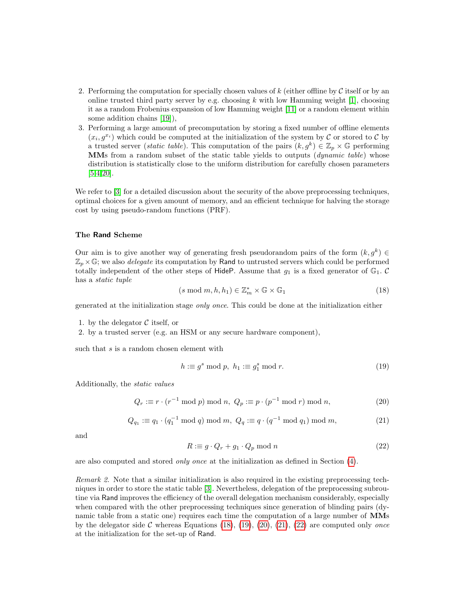- 2. Performing the computation for specially chosen values of  $k$  (either offline by  $\mathcal C$  itself or by an online trusted third party server by e.g. choosing  $k$  with low Hamming weight [\[1\]](#page-16-9), choosing it as a random Frobenius expansion of low Hamming weight [\[11\]](#page-17-8) or a random element within some addition chains [\[19\]](#page-17-9)),
- 3. Performing a large amount of precomputation by storing a fixed number of offline elements  $(x_i, g^{x_i})$  which could be computed at the initialization of the system by C or stored to C by a trusted server (*static table*). This computation of the pairs  $(k, g^k) \in \mathbb{Z}_p \times \mathbb{G}$  performing MMs from a random subset of the static table yields to outputs (*dynamic table*) whose distribution is statistically close to the uniform distribution for carefully chosen parameters [\[5,](#page-16-7)[4](#page-16-8)[,20\]](#page-17-3).

We refer to  $\lceil 3 \rceil$  for a detailed discussion about the security of the above preprocessing techniques, optimal choices for a given amount of memory, and an efficient technique for halving the storage cost by using pseudo-random functions (PRF).

#### The Rand Scheme

Our aim is to give another way of generating fresh pseudorandom pairs of the form  $(k, g^k) \in$  $\mathbb{Z}_p \times \mathbb{G}$ ; we also *delegate* its computation by Rand to untrusted servers which could be performed totally independent of the other steps of HideP. Assume that  $g_1$  is a fixed generator of  $\mathbb{G}_1$ . C has a static tuple

<span id="page-18-0"></span>
$$
(s \bmod m, h, h_1) \in \mathbb{Z}_m^* \times \mathbb{G} \times \mathbb{G}_1 \tag{18}
$$

generated at the initialization stage only once. This could be done at the initialization either

1. by the delegator  $\mathcal C$  itself, or

2. by a trusted server (e.g. an HSM or any secure hardware component),

such that  $s$  is a random chosen element with

<span id="page-18-1"></span>
$$
h := g^s \bmod p, \ h_1 := g_1^s \bmod r. \tag{19}
$$

Additionally, the static values

<span id="page-18-2"></span>
$$
Q_r \equiv r \cdot (r^{-1} \bmod p) \bmod n, \ Q_p \equiv p \cdot (p^{-1} \bmod r) \bmod n,
$$
 (20)

<span id="page-18-3"></span>
$$
Q_{q_1} \equiv q_1 \cdot (q_1^{-1} \bmod q) \bmod m, \ Q_q \equiv q \cdot (q^{-1} \bmod q_1) \bmod m,
$$
 (21)

and

<span id="page-18-4"></span>
$$
R := g \cdot Q_r + g_1 \cdot Q_p \mod n \tag{22}
$$

are also computed and stored only once at the initialization as defined in Section [\(4\)](#page-9-0).

Remark 2. Note that a similar initialization is also required in the existing preprocessing techniques in order to store the static table [\[3\]](#page-16-10). Nevertheless, delegation of the preprocessing subroutine via Rand improves the efficiency of the overall delegation mechanism considerably, especially when compared with the other preprocessing techniques since generation of blinding pairs (dynamic table from a static one) requires each time the computation of a large number of MMs by the delegator side  $\mathcal C$  whereas Equations [\(18\)](#page-18-0), [\(19\)](#page-18-1), [\(20\)](#page-18-2), [\(21\)](#page-18-3), [\(22\)](#page-18-4) are computed only *once* at the initialization for the set-up of Rand.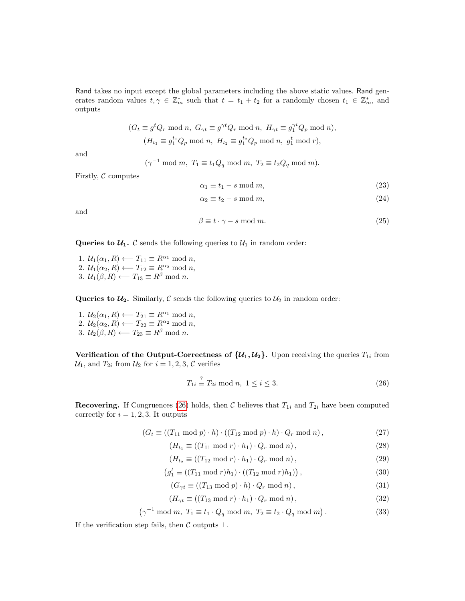Rand takes no input except the global parameters including the above static values. Rand generates random values  $t, \gamma \in \mathbb{Z}_m^*$  such that  $t = t_1 + t_2$  for a randomly chosen  $t_1 \in \mathbb{Z}_m^*$ , and outputs

$$
(G_t \equiv g^t Q_r \mod n, \ G_{\gamma t} \equiv g^{\gamma t} Q_r \mod n, \ H_{\gamma t} \equiv g_1^{\gamma t} Q_p \mod n),
$$

$$
(H_{t_1} \equiv g_1^{t_1} Q_p \mod n, \ H_{t_2} \equiv g_1^{t_2} Q_p \mod n, \ g_1^t \mod r),
$$

and

$$
(\gamma^{-1} \bmod m, T_1 \equiv t_1 Q_q \bmod m, T_2 \equiv t_2 Q_q \bmod m).
$$

Firstly,  $C$  computes

$$
\alpha_1 \equiv t_1 - s \mod m,\tag{23}
$$

$$
\alpha_2 \equiv t_2 - s \mod m,\tag{24}
$$

and

$$
\beta \equiv t \cdot \gamma - s \mod m. \tag{25}
$$

Queries to  $\mathcal{U}_1$ . C sends the following queries to  $\mathcal{U}_1$  in random order:

1.  $U_1(\alpha_1, R) \longleftarrow T_{11} \equiv R^{\alpha_1} \bmod n$ , 2.  $\mathcal{U}_1(\alpha_2, R) \longleftarrow T_{12} \equiv R^{\alpha_2} \bmod n$ , 3.  $\mathcal{U}_1(\beta, R) \longleftarrow T_{13} \equiv R^{\beta} \text{ mod } n.$ 

Queries to  $\mathcal{U}_2$ . Similarly, C sends the following queries to  $\mathcal{U}_2$  in random order:

- 1.  $\mathcal{U}_2(\alpha_1, R) \longleftarrow T_{21} \equiv R^{\alpha_1} \bmod n$ ,
- 2.  $\mathcal{U}_2(\alpha_2, R) \longleftarrow T_{22} \equiv R^{\alpha_2} \bmod n$ ,
- 3.  $\mathcal{U}_2(\beta, R) \longleftarrow T_{23} \equiv R^{\beta} \text{ mod } n.$

Verification of the Output-Correctness of  $\{u_1, u_2\}$ . Upon receiving the queries  $T_{1i}$  from  $\mathcal{U}_1$ , and  $T_{2i}$  from  $\mathcal{U}_2$  for  $i = 1, 2, 3, \mathcal{C}$  verifies

<span id="page-19-0"></span>
$$
T_{1i} \stackrel{?}{=} T_{2i} \bmod n, \ 1 \le i \le 3. \tag{26}
$$

**Recovering.** If Congruences [\(26\)](#page-19-0) holds, then C believes that  $T_{1i}$  and  $T_{2i}$  have been computed correctly for  $i = 1, 2, 3$ . It outputs

$$
(G_t \equiv ((T_{11} \bmod p) \cdot h) \cdot ((T_{12} \bmod p) \cdot h) \cdot Q_r \bmod n), \qquad (27)
$$

$$
(H_{t_1} \equiv ((T_{11} \bmod r) \cdot h_1) \cdot Q_r \bmod n), \qquad (28)
$$

$$
(H_{t_2} \equiv ((T_{12} \bmod r) \cdot h_1) \cdot Q_r \bmod n), \qquad (29)
$$

$$
(g_1^t \equiv ((T_{11} \bmod r)h_1) \cdot ((T_{12} \bmod r)h_1)), \qquad (30)
$$

$$
(G_{\gamma t} \equiv ((T_{13} \bmod p) \cdot h) \cdot Q_r \bmod n), \tag{31}
$$

$$
(H_{\gamma t} \equiv ((T_{13} \bmod r) \cdot h_1) \cdot Q_r \bmod n), \qquad (32)
$$

 $(\gamma^{-1} \mod m, T_1 \equiv t_1 \cdot Q_q \mod m, T_2 \equiv t_2 \cdot Q_q \mod m)$ . (33)

If the verification step fails, then  $\mathcal C$  outputs  $\bot$ .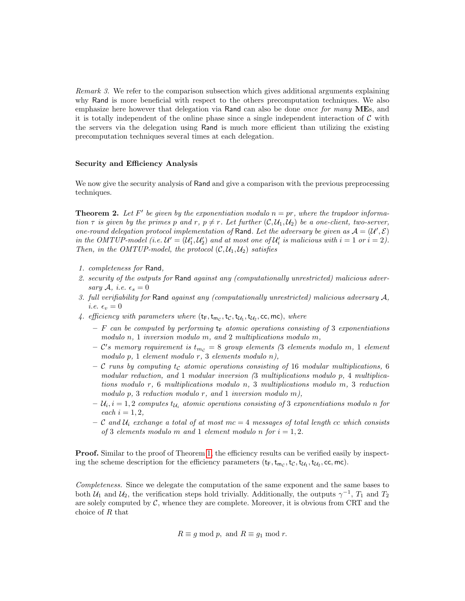Remark 3. We refer to the comparison subsection which gives additional arguments explaining why Rand is more beneficial with respect to the others precomputation techniques. We also emphasize here however that delegation via Rand can also be done *once for many* MEs, and it is totally independent of the online phase since a single independent interaction of  $\mathcal C$  with the servers via the delegation using Rand is much more efficient than utilizing the existing precomputation techniques several times at each delegation.

#### Security and Efficiency Analysis

We now give the security analysis of Rand and give a comparison with the previous preprocessing techniques.

<span id="page-20-0"></span>**Theorem 2.** Let F' be given by the exponentiation modulo  $n = pr$ , where the trapdoor information  $\tau$  is given by the primes p and r,  $p \neq r$ . Let further  $(C, \mathcal{U}_1, \mathcal{U}_2)$  be a one-client, two-server, one-round delegation protocol implementation of Rand. Let the adversary be given as  $A = (U', \mathcal{E})$ in the OMTUP-model (i.e.  $\mathcal{U}' = (\mathcal{U}'_1, \mathcal{U}'_2)$  and at most one of  $\mathcal{U}'_i$  is malicious with  $i = 1$  or  $i = 2$ ). Then, in the OMTUP-model, the protocol  $(C, U_1, U_2)$  satisfies

- 1. completeness for Rand,
- 2. security of the outputs for Rand against any (computationally unrestricted) malicious adversary A, i.e.  $\epsilon_s = 0$
- 3. full verifiability for Rand against any (computationally unrestricted) malicious adversary A, *i.e.*  $\epsilon_v = 0$
- 4. efficiency with parameters where  $(t_F, t_{m_C}, t_C, t_{U_1}, t_{U_2}, \text{cc}, \text{mc})$ , where
	- F can be computed by performing  $t_F$  atomic operations consisting of 3 exponentiations modulo  $n, 1$  inversion modulo  $m,$  and  $2$  multiplications modulo  $m,$
	- $\mathcal{C}'s$  memory requirement is  $t_{m_{\mathcal{C}}} = 8$  group elements (3 elements modulo m, 1 element modulo p, 1 element modulo r, 3 elements modulo n),
	- C runs by computing  $t_c$  atomic operations consisting of 16 modular multiplications, 6 modular reduction, and 1 modular inversion  $(3 \text{ multiplications modulo } p, 4 \text{ multiplica-}$ tions modulo r, 6 multiplications modulo n, 3 multiplications modulo m, 3 reduction modulo  $p$ , 3 reduction modulo  $r$ , and 1 inversion modulo  $m$ ),
	- $-\mathcal{U}_i$ ,  $i=1,2$  computes  $t_{\mathcal{U}_i}$  atomic operations consisting of 3 exponentiations modulo n for each  $i = 1, 2$ ,
	- C and  $\mathcal{U}_i$  exchange a total of at most mc = 4 messages of total length cc which consists of 3 elements modulo m and 1 element modulo n for  $i = 1, 2$ .

**Proof.** Similar to the proof of Theorem [1,](#page-12-0) the efficiency results can be verified easily by inspecting the scheme description for the efficiency parameters  $(t_F, t_{mc}, t_C, t_{U_1}, t_{U_2}, cc, mc)$ .

Completeness. Since we delegate the computation of the same exponent and the same bases to both  $\mathcal{U}_1$  and  $\mathcal{U}_2$ , the verification steps hold trivially. Additionally, the outputs  $\gamma^{-1}$ ,  $T_1$  and  $T_2$ are solely computed by  $C$ , whence they are complete. Moreover, it is obvious from CRT and the choice of R that

$$
R \equiv g \bmod p, \text{ and } R \equiv g_1 \bmod r.
$$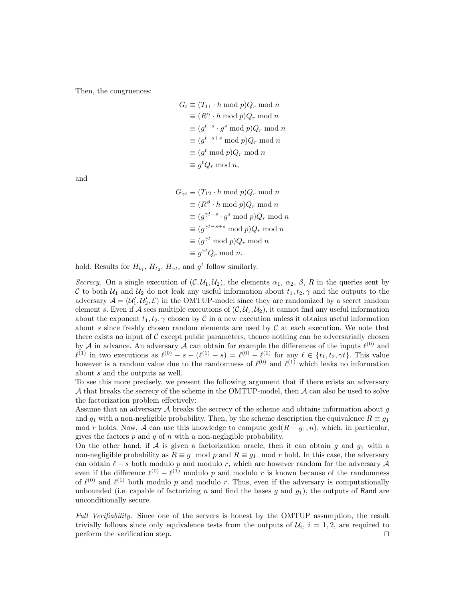Then, the congruences:

$$
G_t \equiv (T_{11} \cdot h \mod p)Q_r \mod n
$$
  
\n
$$
\equiv (R^{\alpha} \cdot h \mod p)Q_r \mod n
$$
  
\n
$$
\equiv (g^{t-s} \cdot g^s \mod p)Q_r \mod n
$$
  
\n
$$
\equiv (g^{t-s+s} \mod p)Q_r \mod n
$$
  
\n
$$
\equiv (g^t \mod p)Q_r \mod n
$$
  
\n
$$
\equiv g^t Q_r \mod n,
$$

and

$$
G_{\gamma t} \equiv (T_{12} \cdot h \mod p)Q_r \mod n
$$
  
\n
$$
\equiv (R^{\beta} \cdot h \mod p)Q_r \mod n
$$
  
\n
$$
\equiv (g^{\gamma t - s} \cdot g^s \mod p)Q_r \mod n
$$
  
\n
$$
\equiv (g^{\gamma t - s + s} \mod p)Q_r \mod n
$$
  
\n
$$
\equiv (g^{\gamma t} \mod p)Q_r \mod n
$$
  
\n
$$
\equiv g^{\gamma t}Q_r \mod n.
$$

hold. Results for  $H_{t_1}, H_{t_2}, H_{\gamma t}$ , and  $g^t$  follow similarly.

Secrecy. On a single execution of  $(C, U_1, U_2)$ , the elements  $\alpha_1, \alpha_2, \beta, R$  in the queries sent by C to both  $U_1$  and  $U_2$  do not leak any useful information about  $t_1, t_2, \gamma$  and the outputs to the adversary  $A = (U'_1, U'_2, \mathcal{E})$  in the OMTUP-model since they are randomized by a secret random element s. Even if A sees multiple executions of  $(C, U_1, U_2)$ , it cannot find any useful information about the exponent  $t_1, t_2, \gamma$  chosen by C in a new execution unless it obtains useful information about s since freshly chosen random elements are used by  $\mathcal C$  at each execution. We note that there exists no input of  $C$  except public parameters, thence nothing can be adversarially chosen by A in advance. An adversary A can obtain for example the differences of the inputs  $\ell^{(0)}$  and  $\ell^{(1)}$  in two executions as  $\ell^{(0)} - s - (\ell^{(1)} - s) = \ell^{(0)} - \ell^{(1)}$  for any  $\ell \in \{t_1, t_2, \gamma t\}$ . This value however is a random value due to the randomness of  $\ell^{(0)}$  and  $\ell^{(1)}$  which leaks no information about s and the outputs as well.

To see this more precisely, we present the following argument that if there exists an adversary  $\mathcal A$  that breaks the secrecy of the scheme in the OMTUP-model, then  $\mathcal A$  can also be used to solve the factorization problem effectively:

Assume that an adversary  $A$  breaks the secrecy of the scheme and obtains information about  $g$ and  $g_1$  with a non-negligible probability. Then, by the scheme description the equivalence  $R \equiv g_1$ mod r holds. Now, A can use this knowledge to compute  $gcd(R - g_1, n)$ , which, in particular, gives the factors  $p$  and  $q$  of  $n$  with a non-negligible probability.

On the other hand, if A is given a factorization oracle, then it can obtain g and  $g_1$  with a non-negligible probability as  $R \equiv g \mod p$  and  $R \equiv g_1 \mod r$  hold. In this case, the adversary can obtain  $\ell - s$  both modulo p and modulo r, which are however random for the adversary A even if the difference  $\ell^{(0)} - \ell^{(1)}$  modulo p and modulo r is known because of the randomness of  $\ell^{(0)}$  and  $\ell^{(1)}$  both modulo p and modulo r. Thus, even if the adversary is computationally unbounded (i.e. capable of factorizing n and find the bases g and  $g_1$ ), the outputs of Rand are unconditionally secure.

Full Verifiability. Since one of the servers is honest by the OMTUP assumption, the result trivially follows since only equivalence tests from the outputs of  $\mathcal{U}_i$ ,  $i = 1, 2$ , are required to perform the verification step.  $\Box$